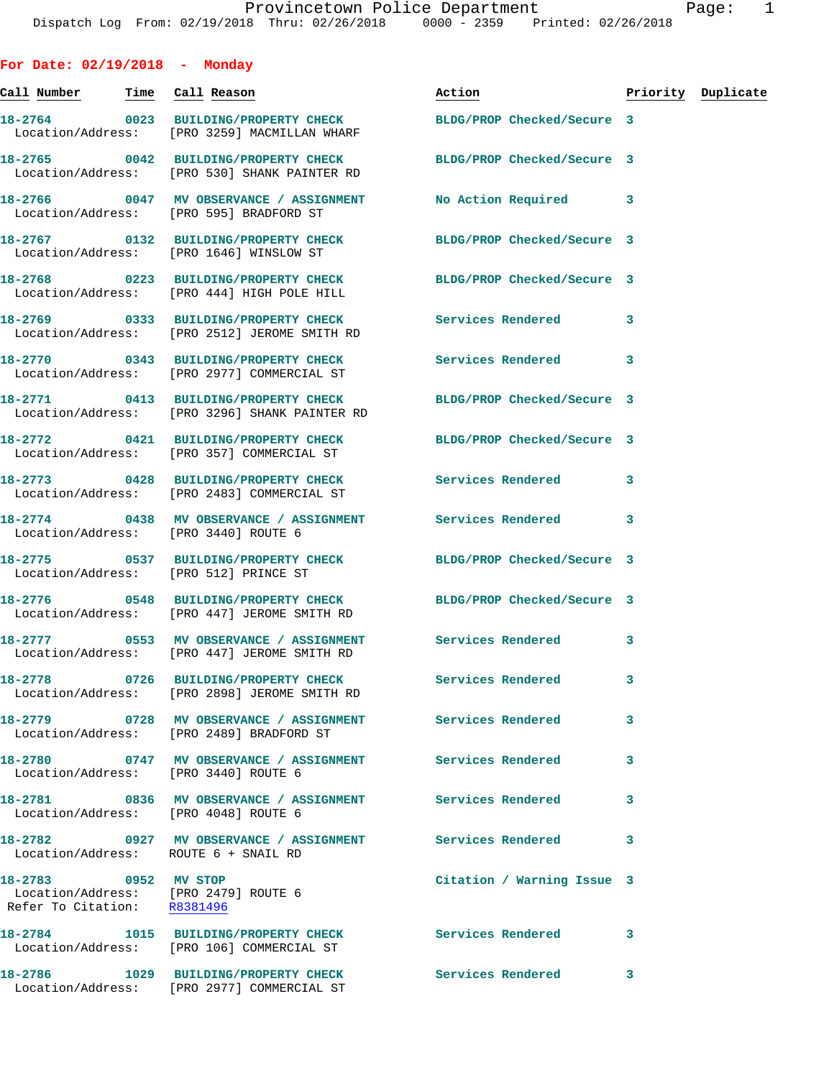| For Date: $02/19/2018$ - Monday                                                             |                                                                                                                 |                            |   |                    |
|---------------------------------------------------------------------------------------------|-----------------------------------------------------------------------------------------------------------------|----------------------------|---|--------------------|
| Call Number Time Call Reason                                                                |                                                                                                                 | Action                     |   | Priority Duplicate |
|                                                                                             | 18-2764 0023 BUILDING/PROPERTY CHECK<br>Location/Address: [PRO 3259] MACMILLAN WHARF                            | BLDG/PROP Checked/Secure 3 |   |                    |
|                                                                                             | 18-2765 0042 BUILDING/PROPERTY CHECK BLDG/PROP Checked/Secure 3<br>Location/Address: [PRO 530] SHANK PAINTER RD |                            |   |                    |
|                                                                                             | 18-2766 0047 MV OBSERVANCE / ASSIGNMENT<br>Location/Address: [PRO 595] BRADFORD ST                              | No Action Required 3       |   |                    |
|                                                                                             | 18-2767 0132 BUILDING/PROPERTY CHECK BLDG/PROP Checked/Secure 3<br>Location/Address: [PRO 1646] WINSLOW ST      |                            |   |                    |
|                                                                                             | 18-2768 0223 BUILDING/PROPERTY CHECK BLDG/PROP Checked/Secure 3<br>Location/Address: [PRO 444] HIGH POLE HILL   |                            |   |                    |
|                                                                                             | 18-2769 		 0333 BUILDING/PROPERTY CHECK Services Rendered<br>Location/Address: [PRO 2512] JEROME SMITH RD       |                            | 3 |                    |
|                                                                                             | 18-2770 0343 BUILDING/PROPERTY CHECK<br>Location/Address: [PRO 2977] COMMERCIAL ST                              | Services Rendered 3        |   |                    |
|                                                                                             | 18-2771 0413 BUILDING/PROPERTY CHECK<br>Location/Address: [PRO 3296] SHANK PAINTER RD                           | BLDG/PROP Checked/Secure 3 |   |                    |
|                                                                                             | 18-2772 0421 BUILDING/PROPERTY CHECK BLDG/PROP Checked/Secure 3<br>Location/Address: [PRO 357] COMMERCIAL ST    |                            |   |                    |
|                                                                                             | 18-2773 0428 BUILDING/PROPERTY CHECK Services Rendered<br>Location/Address: [PRO 2483] COMMERCIAL ST            |                            | 3 |                    |
| Location/Address: [PRO 3440] ROUTE 6                                                        | 18-2774 0438 MV OBSERVANCE / ASSIGNMENT Services Rendered 3                                                     |                            |   |                    |
| Location/Address: [PRO 512] PRINCE ST                                                       | 18-2775 0537 BUILDING/PROPERTY CHECK BLDG/PROP Checked/Secure 3                                                 |                            |   |                    |
|                                                                                             | 18-2776 0548 BUILDING/PROPERTY CHECK BLDG/PROP Checked/Secure 3<br>Location/Address: [PRO 447] JEROME SMITH RD  |                            |   |                    |
|                                                                                             | 18-2777 6553 MV OBSERVANCE / ASSIGNMENT Services Rendered<br>Location/Address: [PRO 447] JEROME SMITH RD        |                            | 3 |                    |
|                                                                                             | Location/Address: [PRO 2898] JEROME SMITH RD                                                                    |                            | 3 |                    |
|                                                                                             | 18-2779 		 0728 MV OBSERVANCE / ASSIGNMENT Services Rendered<br>Location/Address: [PRO 2489] BRADFORD ST        |                            | 3 |                    |
| Location/Address: [PRO 3440] ROUTE 6                                                        | 18-2780 0747 MV OBSERVANCE / ASSIGNMENT Services Rendered                                                       |                            | 3 |                    |
| Location/Address: [PRO 4048] ROUTE 6                                                        | 18-2781 0836 MV OBSERVANCE / ASSIGNMENT Services Rendered                                                       |                            | 3 |                    |
| Location/Address: ROUTE 6 + SNAIL RD                                                        | 18-2782 		 0927 MV OBSERVANCE / ASSIGNMENT Services Rendered                                                    |                            | 3 |                    |
| 18-2783 0952 MV STOP<br>Location/Address: [PRO 2479] ROUTE 6<br>Refer To Citation: R8381496 |                                                                                                                 | Citation / Warning Issue 3 |   |                    |
|                                                                                             | 18-2784 1015 BUILDING/PROPERTY CHECK Services Rendered<br>Location/Address: [PRO 106] COMMERCIAL ST             |                            | 3 |                    |
|                                                                                             | 18-2786 1029 BUILDING/PROPERTY CHECK<br>Location/Address: [PRO 2977] COMMERCIAL ST                              | <b>Services Rendered</b>   | 3 |                    |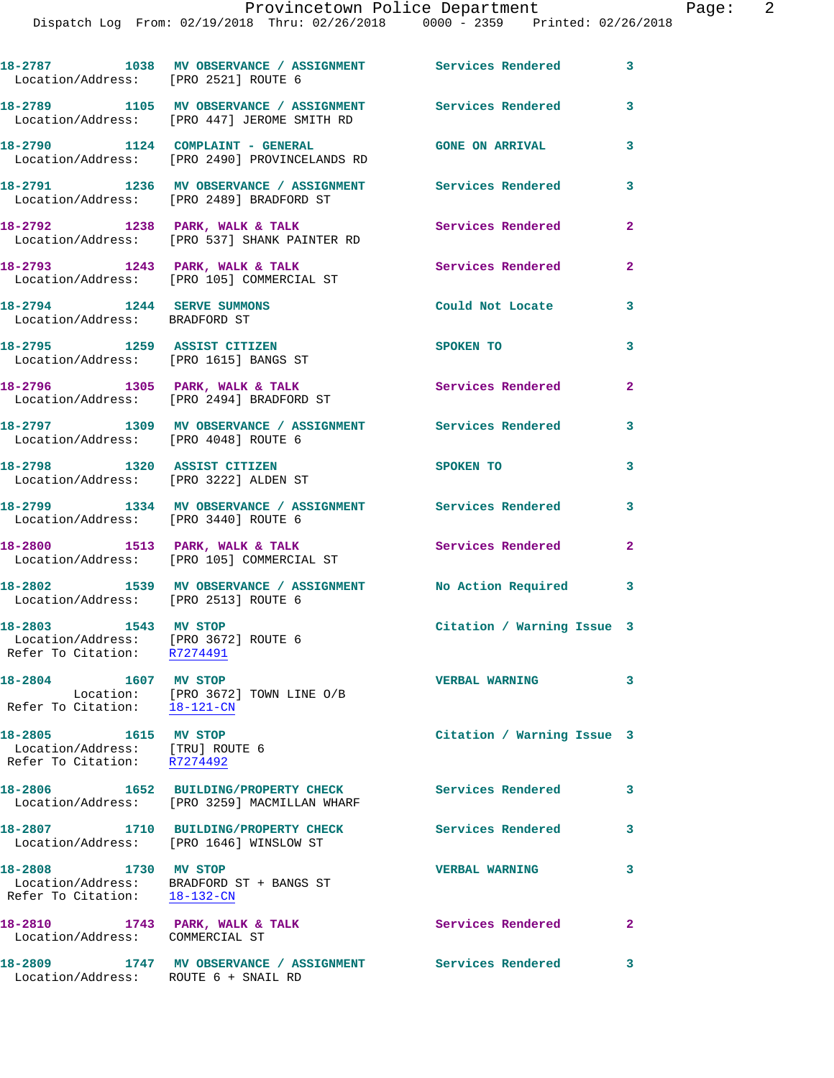| Location/Address: [PRO 2521] ROUTE 6                                                   | 18-2787 1038 MV OBSERVANCE / ASSIGNMENT Services Rendered                                                  |                            | $\mathbf{3}$            |
|----------------------------------------------------------------------------------------|------------------------------------------------------------------------------------------------------------|----------------------------|-------------------------|
|                                                                                        | 18-2789 1105 MV OBSERVANCE / ASSIGNMENT Services Rendered 3<br>Location/Address: [PRO 447] JEROME SMITH RD |                            |                         |
|                                                                                        | 18-2790 1124 COMPLAINT - GENERAL<br>Location/Address: [PRO 2490] PROVINCELANDS RD                          | <b>GONE ON ARRIVAL</b>     | 3                       |
|                                                                                        | 18-2791 1236 MV OBSERVANCE / ASSIGNMENT Services Rendered 3<br>Location/Address: [PRO 2489] BRADFORD ST    |                            |                         |
|                                                                                        | $18-2792$ 1238 PARK, WALK & TALK<br>Location/Address: [PRO 537] SHANK PAINTER RD                           | Services Rendered          | $\mathbf{2}$            |
|                                                                                        | 18-2793 1243 PARK, WALK & TALK<br>Location/Address: [PRO 105] COMMERCIAL ST                                | Services Rendered          | $\mathbf{2}$            |
| 18-2794 1244 SERVE SUMMONS<br>Location/Address: BRADFORD ST                            |                                                                                                            | Could Not Locate           | 3                       |
| 18-2795 1259 ASSIST CITIZEN<br>Location/Address: [PRO 1615] BANGS ST                   |                                                                                                            | SPOKEN TO                  | 3                       |
|                                                                                        | 18-2796 1305 PARK, WALK & TALK<br>Location/Address: [PRO 2494] BRADFORD ST                                 | <b>Services Rendered</b>   | $\mathbf{2}$            |
| Location/Address: [PRO 4048] ROUTE 6                                                   | 18-2797 1309 MV OBSERVANCE / ASSIGNMENT Services Rendered                                                  |                            | 3                       |
| 18-2798 1320 ASSIST CITIZEN                                                            | Location/Address: [PRO 3222] ALDEN ST                                                                      | SPOKEN TO                  | $\overline{\mathbf{3}}$ |
| Location/Address: [PRO 3440] ROUTE 6                                                   | 18-2799 1334 MV OBSERVANCE / ASSIGNMENT Services Rendered                                                  |                            | $\mathbf{3}$            |
|                                                                                        | 18-2800 1513 PARK, WALK & TALK<br>Location/Address: [PRO 105] COMMERCIAL ST                                | <b>Services Rendered</b>   | $\mathbf{2}$            |
|                                                                                        | 18-2802 1539 MV OBSERVANCE / ASSIGNMENT No Action Required 3<br>Location/Address: [PRO 2513] ROUTE 6       |                            |                         |
| 18-2803 1543 MV STOP<br>Refer To Citation: R7274491                                    | Location/Address: [PRO 3672] ROUTE 6                                                                       | Citation / Warning Issue 3 |                         |
| 18-2804 1607 MV STOP<br>Refer To Citation: 18-121-CN                                   | Location: [PRO 3672] TOWN LINE O/B                                                                         | <b>VERBAL WARNING</b>      | 3                       |
| 18-2805 1615 MV STOP<br>Location/Address: [TRU] ROUTE 6<br>Refer To Citation: R7274492 |                                                                                                            | Citation / Warning Issue 3 |                         |
|                                                                                        | 18-2806 1652 BUILDING/PROPERTY CHECK<br>Location/Address: [PRO 3259] MACMILLAN WHARF                       | Services Rendered          | 3                       |
|                                                                                        | 18-2807 1710 BUILDING/PROPERTY CHECK<br>Location/Address: [PRO 1646] WINSLOW ST                            | Services Rendered          | 3                       |
| 18-2808 1730 MV STOP<br>Refer To Citation: 18-132-CN                                   | Location/Address: BRADFORD ST + BANGS ST                                                                   | <b>VERBAL WARNING</b>      | 3                       |
| Location/Address: COMMERCIAL ST                                                        | 18-2810 1743 PARK, WALK & TALK                                                                             | Services Rendered          | $\mathbf{2}$            |
| 18-2809                                                                                | 1747 MV OBSERVANCE / ASSIGNMENT                                                                            | Services Rendered          | 3                       |

Location/Address: ROUTE 6 + SNAIL RD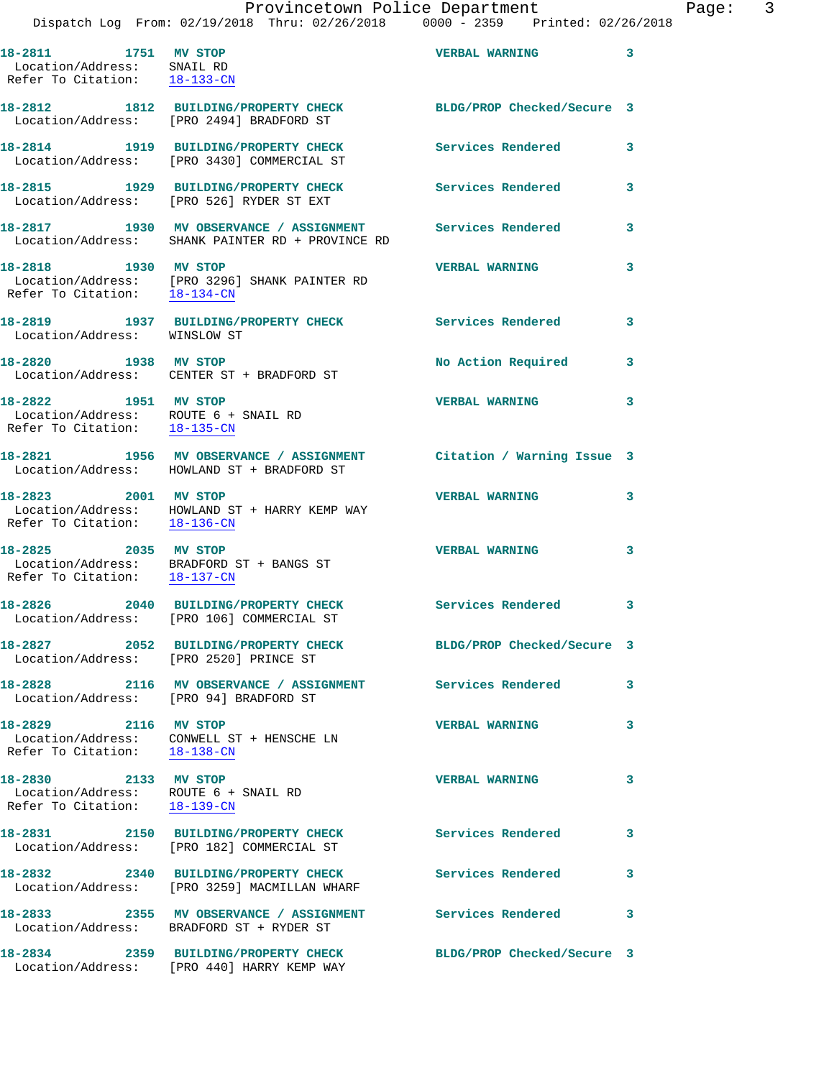**18-2811 1751 MV STOP VERBAL WARNING 3**  Location/Address: SNAIL RD Refer To Citation: 18-133-CN

**18-2812 1812 BUILDING/PROPERTY CHECK BLDG/PROP Checked/Secure 3**  Location/Address: [PRO 2494] BRADFORD ST

Location/Address: [PRO 3430] COMMERCIAL ST

**18-2815 1929 BUILDING/PROPERTY CHECK Services Rendered 3**  Location/Address: [PRO 526] RYDER ST EXT

Location/Address: SHANK PAINTER RD + PROVINCE RD

Refer To Citation: 18-134-CN

Location/Address: WINSLOW ST

**18-2822 1951 MV STOP VERBAL WARNING 3**  Location/Address: ROUTE 6 + SNAIL RD Refer To Citation: 18-135-CN

Refer To Citation: 18-136-CN

**18-2825 2035 MV STOP VERBAL WARNING 3**  Refer To Citation: 18-137-CN

Location/Address: [PRO 106] COMMERCIAL ST

**18-2827 2052 BUILDING/PROPERTY CHECK BLDG/PROP Checked/Secure 3**  Location/Address: [PRO 2520] PRINCE ST

**18-2828 2116 MV OBSERVANCE / ASSIGNMENT Services Rendered 3**  Location/Address: [PRO 94] BRADFORD ST

**18-2829 2116 MV STOP VERBAL WARNING 3**  Refer To Citation: 18-138-CN

**18-2830 2133 MV STOP VERBAL WARNING 3**  Location/Address: ROUTE 6 + SNAIL RD Refer To Citation: 18-139-CN

**18-2831 2150 BUILDING/PROPERTY CHECK Services Rendered 3** 

Location/Address: [PRO 182] COMMERCIAL ST

**18-2832 2340 BUILDING/PROPERTY CHECK Services Rendered 3**  Location/Address: [PRO 3259] MACMILLAN WHARF

**18-2833 2355 MV OBSERVANCE / ASSIGNMENT Services Rendered 3**  Location/Address: BRADFORD ST + RYDER ST

**18-2834 2359 BUILDING/PROPERTY CHECK BLDG/PROP Checked/Secure 3**  Location/Address: [PRO 440] HARRY KEMP WAY

**18-2814 1919 BUILDING/PROPERTY CHECK Services Rendered 3** 

**18-2817 1930 MV OBSERVANCE / ASSIGNMENT Services Rendered 3** 

**18-2818 1930 MV STOP VERBAL WARNING 3**  Location/Address: [PRO 3296] SHANK PAINTER RD

**18-2819 1937 BUILDING/PROPERTY CHECK Services Rendered 3** 

18-2820 1938 MV STOP **No Action Required** 3 Location/Address: CENTER ST + BRADFORD ST

**18-2821 1956 MV OBSERVANCE / ASSIGNMENT Citation / Warning Issue 3**  Location/Address: HOWLAND ST + BRADFORD ST

**18-2823 2001 MV STOP VERBAL WARNING 3**  Location/Address: HOWLAND ST + HARRY KEMP WAY

Location/Address: BRADFORD ST + BANGS ST

**18-2826 2040 BUILDING/PROPERTY CHECK Services Rendered 3** 

Location/Address: CONWELL ST + HENSCHE LN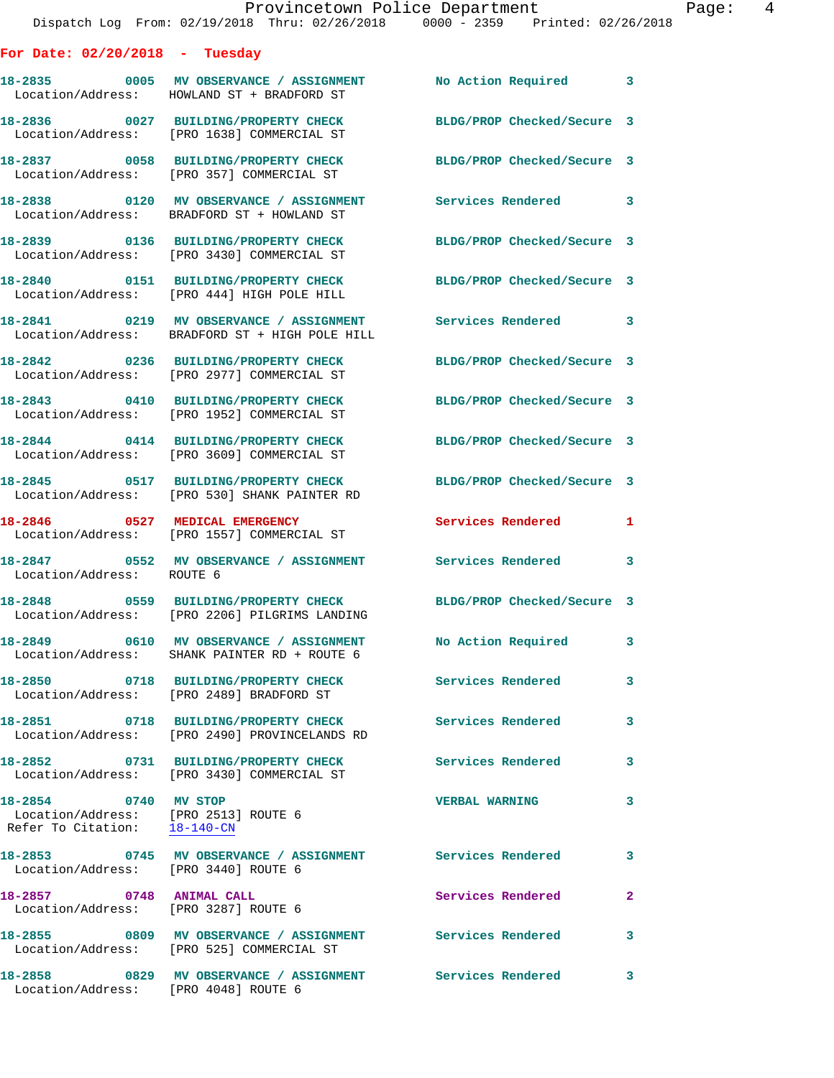|                                                                                              | Provincetown Police Department                                                                                      |                            | Page: 4      |
|----------------------------------------------------------------------------------------------|---------------------------------------------------------------------------------------------------------------------|----------------------------|--------------|
|                                                                                              | Dispatch Log From: 02/19/2018 Thru: 02/26/2018 0000 - 2359 Printed: 02/26/2018                                      |                            |              |
| For Date: $02/20/2018$ - Tuesday                                                             |                                                                                                                     |                            |              |
|                                                                                              | 18-2835 0005 MV OBSERVANCE / ASSIGNMENT No Action Required 3<br>Location/Address: HOWLAND ST + BRADFORD ST          |                            |              |
|                                                                                              | 18-2836 0027 BUILDING/PROPERTY CHECK<br>Location/Address: [PRO 1638] COMMERCIAL ST                                  | BLDG/PROP Checked/Secure 3 |              |
|                                                                                              | 18-2837 0058 BUILDING/PROPERTY CHECK BLDG/PROP Checked/Secure 3<br>Location/Address: [PRO 357] COMMERCIAL ST        |                            |              |
|                                                                                              | 18-2838 0120 MV OBSERVANCE / ASSIGNMENT Services Rendered 3<br>Location/Address: BRADFORD ST + HOWLAND ST           |                            |              |
|                                                                                              | 18-2839 0136 BUILDING/PROPERTY CHECK<br>Location/Address: [PRO 3430] COMMERCIAL ST                                  | BLDG/PROP Checked/Secure 3 |              |
|                                                                                              | 18-2840 0151 BUILDING/PROPERTY CHECK BLDG/PROP Checked/Secure 3<br>Location/Address: [PRO 444] HIGH POLE HILL       |                            |              |
|                                                                                              | 18-2841 0219 MV OBSERVANCE / ASSIGNMENT Services Rendered 3<br>Location/Address: BRADFORD ST + HIGH POLE HILL       |                            |              |
|                                                                                              | 18-2842 0236 BUILDING/PROPERTY CHECK BLDG/PROP Checked/Secure 3<br>Location/Address: [PRO 2977] COMMERCIAL ST       |                            |              |
|                                                                                              | 18-2843 0410 BUILDING/PROPERTY CHECK<br>Location/Address: [PRO 1952] COMMERCIAL ST                                  | BLDG/PROP Checked/Secure 3 |              |
|                                                                                              | 18-2844 0414 BUILDING/PROPERTY CHECK BLDG/PROP Checked/Secure 3<br>Location/Address: [PRO 3609] COMMERCIAL ST       |                            |              |
|                                                                                              | 18-2845 0517 BUILDING/PROPERTY CHECK BLDG/PROP Checked/Secure 3<br>Location/Address: [PRO 530] SHANK PAINTER RD     |                            |              |
|                                                                                              | 18-2846 0527 MEDICAL EMERGENCY<br>Location/Address: [PRO 1557] COMMERCIAL ST                                        | Services Rendered 1        |              |
| Location/Address: ROUTE 6                                                                    | 18-2847 0552 MV OBSERVANCE / ASSIGNMENT Services Rendered 3                                                         |                            |              |
|                                                                                              | 18-2848 		 0559 BUILDING/PROPERTY CHECK BLDG/PROP Checked/Secure 3<br>Location/Address: [PRO 2206] PILGRIMS LANDING |                            |              |
|                                                                                              | 18-2849 0610 MV OBSERVANCE / ASSIGNMENT No Action Required 3<br>Location/Address: SHANK PAINTER RD + ROUTE 6        |                            |              |
|                                                                                              | 18-2850 0718 BUILDING/PROPERTY CHECK Services Rendered 3<br>Location/Address: [PRO 2489] BRADFORD ST                |                            |              |
|                                                                                              | 18-2851 0718 BUILDING/PROPERTY CHECK Services Rendered<br>Location/Address: [PRO 2490] PROVINCELANDS RD             |                            | 3            |
|                                                                                              | 18-2852 0731 BUILDING/PROPERTY CHECK Services Rendered 3<br>Location/Address: [PRO 3430] COMMERCIAL ST              |                            |              |
| 18-2854 0740 MV STOP<br>Location/Address: [PRO 2513] ROUTE 6<br>Refer To Citation: 18-140-CN |                                                                                                                     | <b>VERBAL WARNING</b>      | 3            |
| Location/Address: [PRO 3440] ROUTE 6                                                         |                                                                                                                     |                            | 3            |
| 18-2857 0748 ANIMAL CALL                                                                     | Location/Address: [PRO 3287] ROUTE 6                                                                                | <b>Services Rendered</b>   | $\mathbf{2}$ |
|                                                                                              | 18-2855 6809 MV OBSERVANCE / ASSIGNMENT Services Rendered<br>Location/Address: [PRO 525] COMMERCIAL ST              |                            | 3            |
| 18-2858                                                                                      | 0829 MV OBSERVANCE / ASSIGNMENT Services Rendered 3                                                                 |                            |              |

Location/Address: [PRO 4048] ROUTE 6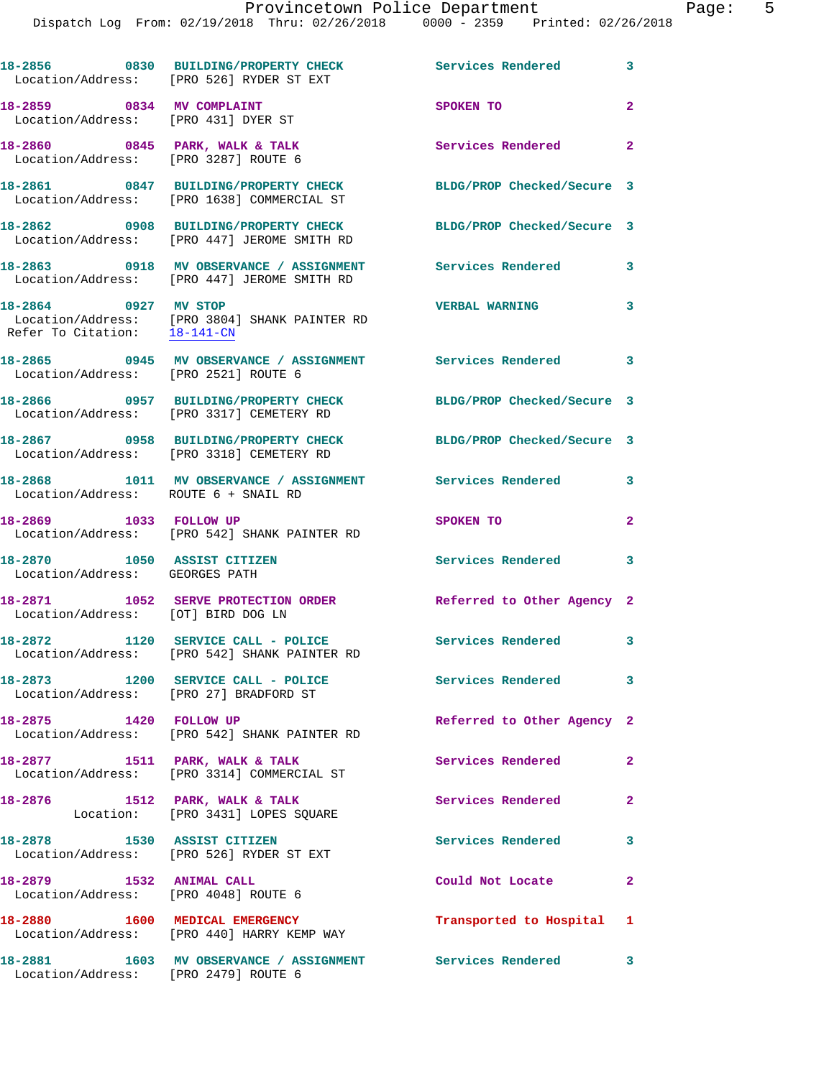|                                                                        | 18-2856 0830 BUILDING/PROPERTY CHECK<br>Location/Address: [PRO 526] RYDER ST EXT       | Services Rendered 3        |                |
|------------------------------------------------------------------------|----------------------------------------------------------------------------------------|----------------------------|----------------|
| 18-2859 0834 MV COMPLAINT<br>Location/Address: [PRO 431] DYER ST       |                                                                                        | SPOKEN TO                  | $\overline{2}$ |
| 18-2860 0845 PARK, WALK & TALK<br>Location/Address: [PRO 3287] ROUTE 6 |                                                                                        | Services Rendered          | $\overline{2}$ |
|                                                                        | 18-2861 0847 BUILDING/PROPERTY CHECK<br>Location/Address: [PRO 1638] COMMERCIAL ST     | BLDG/PROP Checked/Secure 3 |                |
|                                                                        | 18-2862 0908 BUILDING/PROPERTY CHECK<br>Location/Address: [PRO 447] JEROME SMITH RD    | BLDG/PROP Checked/Secure 3 |                |
|                                                                        | 18-2863 0918 MV OBSERVANCE / ASSIGNMENT<br>Location/Address: [PRO 447] JEROME SMITH RD | <b>Services Rendered</b>   | 3              |
| 18-2864 0927 MV STOP<br>Refer To Citation: 18-141-CN                   | Location/Address: [PRO 3804] SHANK PAINTER RD                                          | <b>VERBAL WARNING</b>      | 3              |
| Location/Address: [PRO 2521] ROUTE 6                                   | 18-2865 0945 MV OBSERVANCE / ASSIGNMENT Services Rendered 3                            |                            |                |
|                                                                        | 18-2866 0957 BUILDING/PROPERTY CHECK<br>Location/Address: [PRO 3317] CEMETERY RD       | BLDG/PROP Checked/Secure 3 |                |
|                                                                        | 18-2867 0958 BUILDING/PROPERTY CHECK<br>Location/Address: [PRO 3318] CEMETERY RD       | BLDG/PROP Checked/Secure 3 |                |
| 18-2868<br>Location/Address: ROUTE 6 + SNAIL RD                        | 1011 MV OBSERVANCE / ASSIGNMENT Services Rendered                                      |                            | 3              |
| 18-2869 1033 FOLLOW UP                                                 | Location/Address: [PRO 542] SHANK PAINTER RD                                           | SPOKEN TO                  | $\overline{2}$ |
| 18-2870 1050 ASSIST CITIZEN<br>Location/Address: GEORGES PATH          |                                                                                        | Services Rendered          | 3              |
| Location/Address: [OT] BIRD DOG LN                                     | 18-2871 1052 SERVE PROTECTION ORDER                                                    | Referred to Other Agency 2 |                |
|                                                                        | 18-2872 1120 SERVICE CALL - POLICE<br>Location/Address: [PRO 542] SHANK PAINTER RD     | <b>Services Rendered</b> 3 |                |
| Location/Address: [PRO 27] BRADFORD ST                                 | 18-2873 1200 SERVICE CALL - POLICE                                                     | Services Rendered 3        |                |
| 18-2875 1420 FOLLOW UP                                                 | Location/Address: [PRO 542] SHANK PAINTER RD                                           | Referred to Other Agency 2 |                |
|                                                                        | 18-2877 1511 PARK, WALK & TALK<br>Location/Address: [PRO 3314] COMMERCIAL ST           | Services Rendered          | $\mathbf{2}$   |
|                                                                        | 18-2876 1512 PARK, WALK & TALK<br>Location: [PRO 3431] LOPES SQUARE                    | Services Rendered          | $\mathbf{2}$   |
|                                                                        | 18-2878 1530 ASSIST CITIZEN<br>Location/Address: [PRO 526] RYDER ST EXT                | Services Rendered          | 3              |
| 18-2879 1532 ANIMAL CALL                                               | Location/Address: [PRO 4048] ROUTE 6                                                   | Could Not Locate           | $\mathbf{2}$   |
|                                                                        | 18-2880 1600 MEDICAL EMERGENCY<br>Location/Address: [PRO 440] HARRY KEMP WAY           | Transported to Hospital 1  |                |
| Location/Address: [PRO 2479] ROUTE 6                                   | 18-2881 1603 MV OBSERVANCE / ASSIGNMENT Services Rendered 3                            |                            |                |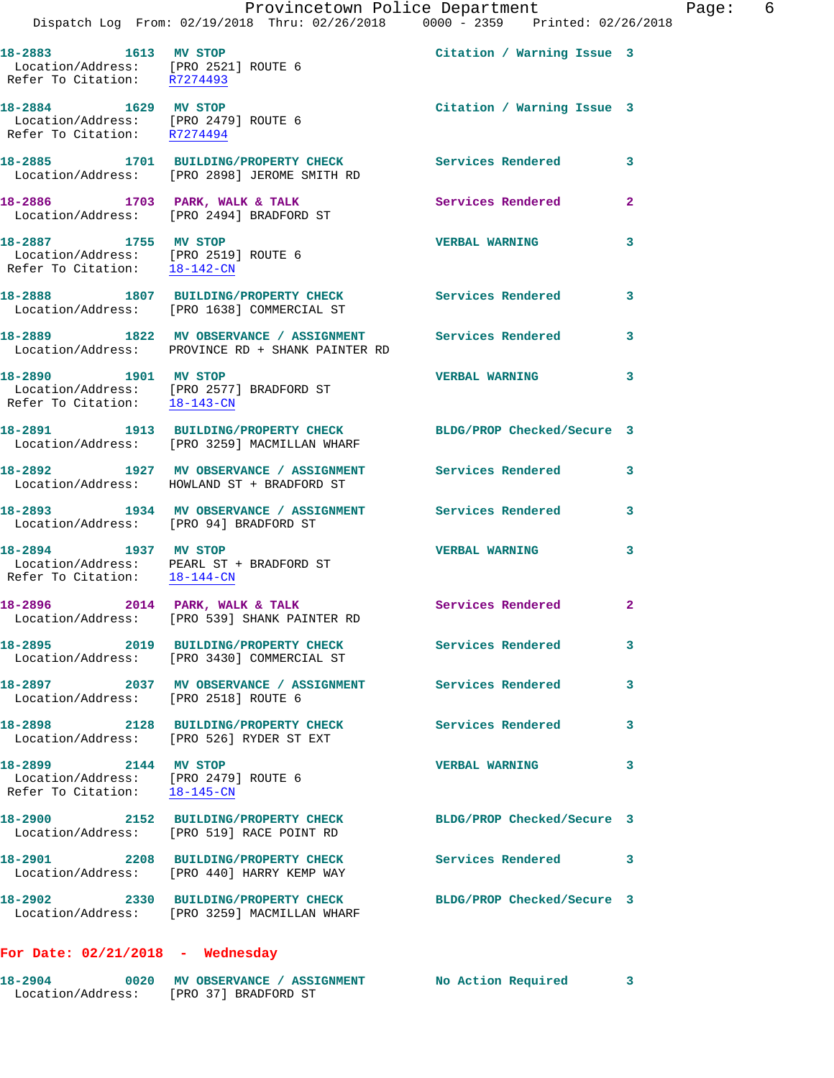|                                                                                                           | Dispatch Log From: 02/19/2018 Thru: 02/26/2018 0000 - 2359 Printed: 02/26/2018                                  | Provincetown Police Department | Page: 6        |
|-----------------------------------------------------------------------------------------------------------|-----------------------------------------------------------------------------------------------------------------|--------------------------------|----------------|
| 18-2883 1613 MV STOP                                                                                      | Location/Address: [PRO 2521] ROUTE 6<br>Refer To Citation: R7274493                                             | Citation / Warning Issue 3     |                |
| 18-2884 1629 MV STOP<br>Location/Address: [PRO 2479] ROUTE 6<br>Refer To Citation: R7274494               |                                                                                                                 | Citation / Warning Issue 3     |                |
|                                                                                                           | 18-2885 1701 BUILDING/PROPERTY CHECK<br>Location/Address: [PRO 2898] JEROME SMITH RD                            | Services Rendered 3            |                |
|                                                                                                           | 18-2886 1703 PARK, WALK & TALK 1988 Services Rendered<br>Location/Address: [PRO 2494] BRADFORD ST               |                                | $\overline{2}$ |
| 18-2887 1755 MV STOP<br>Location/Address: [PRO 2519] ROUTE 6<br>Refer To Citation: $\frac{18-142-CN}{\ }$ |                                                                                                                 | <b>VERBAL WARNING</b>          | 3              |
|                                                                                                           | 18-2888 1807 BUILDING/PROPERTY CHECK Services Rendered<br>Location/Address: [PRO 1638] COMMERCIAL ST            |                                | $\mathbf{3}$   |
|                                                                                                           | 18-2889 1822 MV OBSERVANCE / ASSIGNMENT Services Rendered<br>Location/Address: PROVINCE RD + SHANK PAINTER RD   |                                | 3              |
| Refer To Citation: $18-143-CN$                                                                            | 18-2890 1901 MV STOP<br>Location/Address: [PRO 2577] BRADFORD ST                                                | <b>VERBAL WARNING</b>          | 3              |
|                                                                                                           | 18-2891 1913 BUILDING/PROPERTY CHECK BLDG/PROP Checked/Secure 3<br>Location/Address: [PRO 3259] MACMILLAN WHARF |                                |                |
|                                                                                                           | 18-2892 1927 MV OBSERVANCE / ASSIGNMENT Services Rendered 3<br>Location/Address: HOWLAND ST + BRADFORD ST       |                                |                |
| Location/Address: [PRO 94] BRADFORD ST                                                                    | 18-2893 1934 MV OBSERVANCE / ASSIGNMENT Services Rendered                                                       |                                | 3              |
| 18-2894 1937 MV STOP                                                                                      | Location/Address: PEARL ST + BRADFORD ST<br>Refer To Citation: $18-144-CN$                                      | <b>VERBAL WARNING</b>          | 3              |
|                                                                                                           | 18-2896 2014 PARK, WALK & TALK<br>Location/Address: [PRO 539] SHANK PAINTER RD                                  | Services Rendered              | $\mathbf{2}$   |
|                                                                                                           | 18-2895 2019 BUILDING/PROPERTY CHECK Services Rendered<br>Location/Address: [PRO 3430] COMMERCIAL ST            |                                | 3              |
| Location/Address: [PRO 2518] ROUTE 6                                                                      | 18-2897 2037 MV OBSERVANCE / ASSIGNMENT Services Rendered                                                       |                                | 3              |
|                                                                                                           | 18-2898 2128 BUILDING/PROPERTY CHECK<br>Location/Address: [PRO 526] RYDER ST EXT                                | <b>Services Rendered</b> 3     |                |
| 18-2899 2144 MV STOP<br>Location/Address: [PRO 2479] ROUTE 6<br>Refer To Citation: 18-145-CN              |                                                                                                                 | <b>VERBAL WARNING</b>          | 3              |
|                                                                                                           | 18-2900 2152 BUILDING/PROPERTY CHECK<br>Location/Address: [PRO 519] RACE POINT RD                               | BLDG/PROP Checked/Secure 3     |                |
|                                                                                                           | 18-2901 2208 BUILDING/PROPERTY CHECK Services Rendered<br>Location/Address: [PRO 440] HARRY KEMP WAY            |                                | -3             |
|                                                                                                           | 18-2902 2330 BUILDING/PROPERTY CHECK BLDG/PROP Checked/Secure 3<br>Location/Address: [PRO 3259] MACMILLAN WHARF |                                |                |
|                                                                                                           |                                                                                                                 |                                |                |

**For Date: 02/21/2018 - Wednesday**

| 18-2904           | 0020 | <b>MV OBSERVANCE / ASSIGNMENT</b> | No Action Required |  |
|-------------------|------|-----------------------------------|--------------------|--|
| Location/Address: |      | [PRO 37] BRADFORD ST              |                    |  |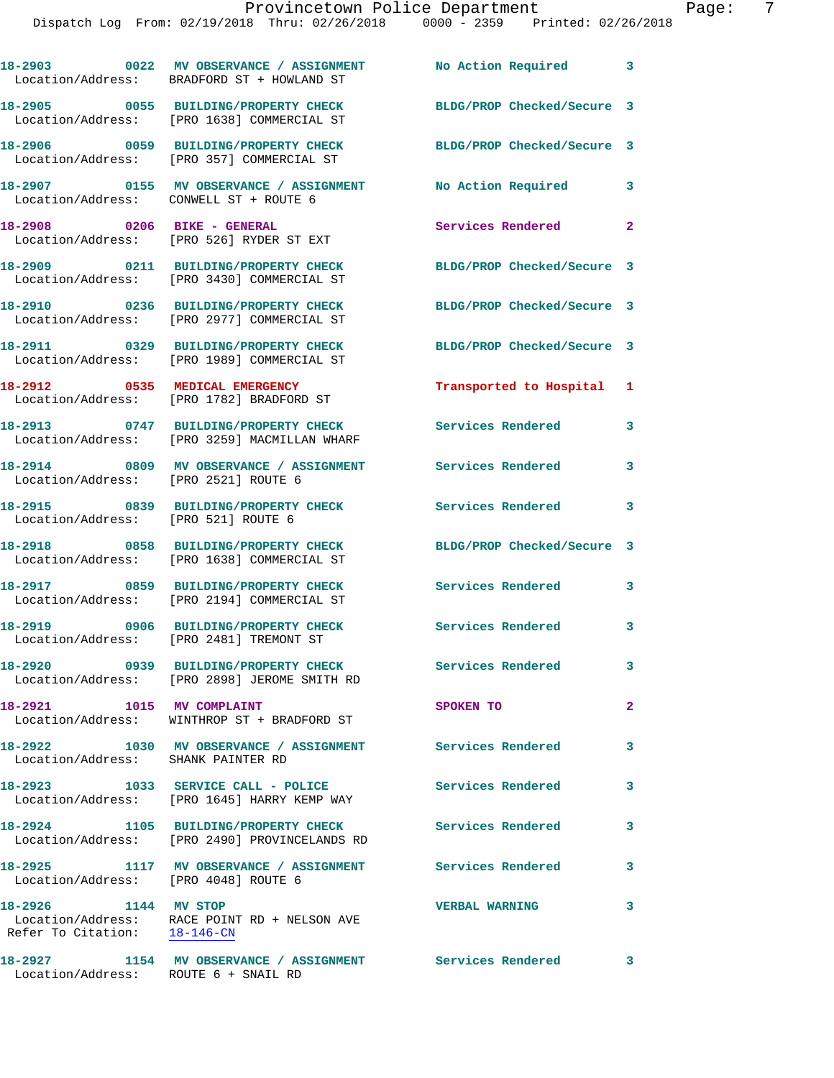|                                                      | 18-2903 0022 MV OBSERVANCE / ASSIGNMENT<br>Location/Address: BRADFORD ST + HOWLAND ST | No Action Required 3       |                            |
|------------------------------------------------------|---------------------------------------------------------------------------------------|----------------------------|----------------------------|
|                                                      | 18-2905 0055 BUILDING/PROPERTY CHECK<br>Location/Address: [PRO 1638] COMMERCIAL ST    | BLDG/PROP Checked/Secure 3 |                            |
|                                                      | 18-2906 0059 BUILDING/PROPERTY CHECK<br>Location/Address: [PRO 357] COMMERCIAL ST     | BLDG/PROP Checked/Secure 3 |                            |
|                                                      | 18-2907 0155 MV OBSERVANCE / ASSIGNMENT<br>Location/Address: CONWELL ST + ROUTE 6     | No Action Required 3       |                            |
|                                                      | 18-2908 0206 BIKE - GENERAL<br>Location/Address: [PRO 526] RYDER ST EXT               | Services Rendered          | $\overline{\phantom{a}}$   |
|                                                      | 18-2909 0211 BUILDING/PROPERTY CHECK<br>Location/Address: [PRO 3430] COMMERCIAL ST    | BLDG/PROP Checked/Secure 3 |                            |
|                                                      | 18-2910 0236 BUILDING/PROPERTY CHECK<br>Location/Address: [PRO 2977] COMMERCIAL ST    | BLDG/PROP Checked/Secure 3 |                            |
|                                                      | 18-2911 0329 BUILDING/PROPERTY CHECK<br>Location/Address: [PRO 1989] COMMERCIAL ST    | BLDG/PROP Checked/Secure 3 |                            |
|                                                      | 18-2912 0535 MEDICAL EMERGENCY<br>Location/Address: [PRO 1782] BRADFORD ST            | Transported to Hospital 1  |                            |
|                                                      | 18-2913 0747 BUILDING/PROPERTY CHECK<br>Location/Address: [PRO 3259] MACMILLAN WHARF  | <b>Services Rendered</b>   | 3                          |
| Location/Address: [PRO 2521] ROUTE 6                 | 18-2914 0809 MV OBSERVANCE / ASSIGNMENT Services Rendered                             |                            | 3                          |
| Location/Address: [PRO 521] ROUTE 6                  | 18-2915 0839 BUILDING/PROPERTY CHECK                                                  | Services Rendered          | 3                          |
|                                                      | 18-2918 0858 BUILDING/PROPERTY CHECK<br>Location/Address: [PRO 1638] COMMERCIAL ST    | BLDG/PROP Checked/Secure 3 |                            |
|                                                      | 18-2917 0859 BUILDING/PROPERTY CHECK<br>Location/Address: [PRO 2194] COMMERCIAL ST    | Services Rendered          | 3                          |
|                                                      | 18-2919 0906 BUILDING/PROPERTY CHECK<br>Location/Address: [PRO 2481] TREMONT ST       | Services Rendered          | 3                          |
|                                                      | 18-2920 0939 BUILDING/PROPERTY CHECK<br>Location/Address: [PRO 2898] JEROME SMITH RD  | Services Rendered          | 3                          |
| 18-2921                                              | 1015 MV COMPLAINT<br>Location/Address: WINTHROP ST + BRADFORD ST                      | SPOKEN TO                  | $\mathbf{2}$               |
| Location/Address: SHANK PAINTER RD                   | 18-2922 1030 MV OBSERVANCE / ASSIGNMENT Services Rendered                             |                            | 3                          |
|                                                      | 18-2923 1033 SERVICE CALL - POLICE<br>Location/Address: [PRO 1645] HARRY KEMP WAY     | <b>Services Rendered</b>   | 3                          |
|                                                      | 18-2924 1105 BUILDING/PROPERTY CHECK<br>Location/Address: [PRO 2490] PROVINCELANDS RD | Services Rendered          | 3                          |
| Location/Address: [PRO 4048] ROUTE 6                 | 18-2925 1117 MV OBSERVANCE / ASSIGNMENT Services Rendered                             |                            | 3                          |
| 18-2926 1144 MV STOP<br>Refer To Citation: 18-146-CN | Location/Address: RACE POINT RD + NELSON AVE                                          | <b>VERBAL WARNING</b>      | 3                          |
| 18-2927                                              | 1154 MV OBSERVANCE / ASSIGNMENT                                                       | <b>Services Rendered</b>   | $\overline{\phantom{a}}$ 3 |

Location/Address: ROUTE 6 + SNAIL RD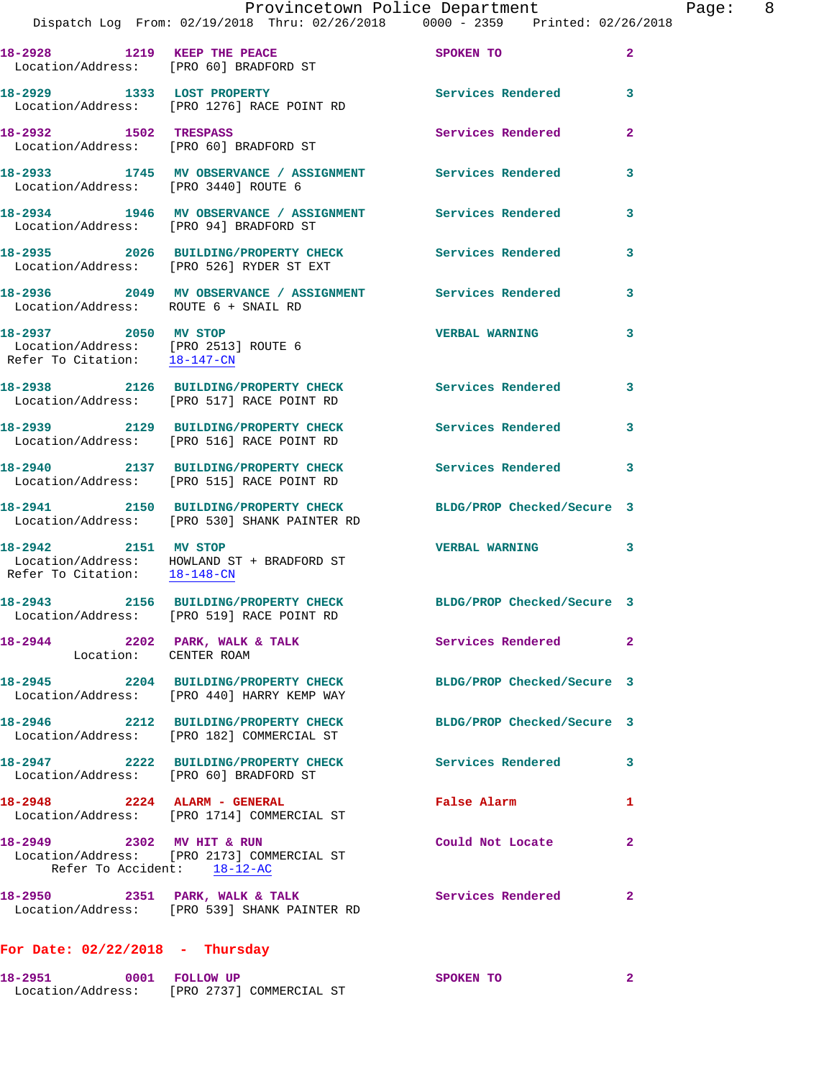| 18-2928 1219 KEEP THE PEACE<br>Location/Address: [PRO 60] BRADFORD ST                        |                                                                                                   | SPOKEN TO                                                                                        | $\mathbf{2}$   |
|----------------------------------------------------------------------------------------------|---------------------------------------------------------------------------------------------------|--------------------------------------------------------------------------------------------------|----------------|
|                                                                                              | 18-2929 1333 LOST PROPERTY<br>Location/Address: [PRO 1276] RACE POINT RD                          | Services Rendered                                                                                | 3              |
|                                                                                              | 18-2932 1502 TRESPASS<br>Location/Address: [PRO 60] BRADFORD ST                                   | Services Rendered                                                                                | $\overline{a}$ |
|                                                                                              | 18-2933 1745 MV OBSERVANCE / ASSIGNMENT Services Rendered<br>Location/Address: [PRO 3440] ROUTE 6 |                                                                                                  | 3              |
| Location/Address: [PRO 94] BRADFORD ST                                                       | 18-2934 1946 MV OBSERVANCE / ASSIGNMENT Services Rendered                                         |                                                                                                  | 3              |
|                                                                                              | 18-2935 2026 BUILDING/PROPERTY CHECK<br>Location/Address: [PRO 526] RYDER ST EXT                  | <b>Services Rendered</b>                                                                         | 3              |
| Location/Address: ROUTE 6 + SNAIL RD                                                         | 18-2936 2049 MV OBSERVANCE / ASSIGNMENT Services Rendered                                         |                                                                                                  | 3              |
| 18-2937 2050 MV STOP<br>Location/Address: [PRO 2513] ROUTE 6<br>Refer To Citation: 18-147-CN |                                                                                                   | <b>VERBAL WARNING</b>                                                                            | 3              |
|                                                                                              | 18-2938 2126 BUILDING/PROPERTY CHECK<br>Location/Address: [PRO 517] RACE POINT RD                 | Services Rendered                                                                                | 3              |
|                                                                                              | 18-2939 2129 BUILDING/PROPERTY CHECK<br>Location/Address: [PRO 516] RACE POINT RD                 | Services Rendered                                                                                | 3              |
|                                                                                              | 18-2940 2137 BUILDING/PROPERTY CHECK<br>Location/Address: [PRO 515] RACE POINT RD                 | Services Rendered                                                                                | 3              |
|                                                                                              | 18-2941 2150 BUILDING/PROPERTY CHECK<br>Location/Address: [PRO 530] SHANK PAINTER RD              | BLDG/PROP Checked/Secure 3                                                                       |                |
| 18-2942 2151 MV STOP<br>Refer To Citation: 18-148-CN                                         | Location/Address: HOWLAND ST + BRADFORD ST                                                        | <b>VERBAL WARNING</b>                                                                            | 3              |
|                                                                                              | 18-2943 2156 BUILDING/PROPERTY CHECK<br>Location/Address: [PRO 519] RACE POINT RD                 | BLDG/PROP Checked/Secure 3                                                                       |                |
| Location: CENTER ROAM                                                                        | 18-2944 2202 PARK, WALK & TALK                                                                    | Services Rendered 2                                                                              |                |
|                                                                                              | 18-2945 2204 BUILDING/PROPERTY CHECK<br>Location/Address: [PRO 440] HARRY KEMP WAY                | BLDG/PROP Checked/Secure 3                                                                       |                |
|                                                                                              | 18-2946 2212 BUILDING/PROPERTY CHECK<br>Location/Address: [PRO 182] COMMERCIAL ST                 | BLDG/PROP Checked/Secure 3                                                                       |                |
|                                                                                              |                                                                                                   | 18-2947 2222 BUILDING/PROPERTY CHECK Services Rendered<br>Location/Address: [PRO 60] BRADFORD ST | 3              |
|                                                                                              | 18-2948 2224 ALARM - GENERAL<br>Location/Address: [PRO 1714] COMMERCIAL ST                        | False Alarm                                                                                      | 1              |
| 18-2949 2302 MV HIT & RUN<br>Refer To Accident: 18-12-AC                                     | Location/Address: [PRO 2173] COMMERCIAL ST                                                        | Could Not Locate                                                                                 | $\mathbf{2}$   |
|                                                                                              | 18-2950 2351 PARK, WALK & TALK<br>Location/Address: [PRO 539] SHANK PAINTER RD                    | <b>Services Rendered</b>                                                                         | $\mathbf{2}$   |
| For Date: $02/22/2018$ - Thursday                                                            |                                                                                                   |                                                                                                  |                |

| 18-2951           | 0001 FOLLOW UP |                          | SPOKEN TO |  |
|-------------------|----------------|--------------------------|-----------|--|
| Location/Address: |                | [PRO 2737] COMMERCIAL ST |           |  |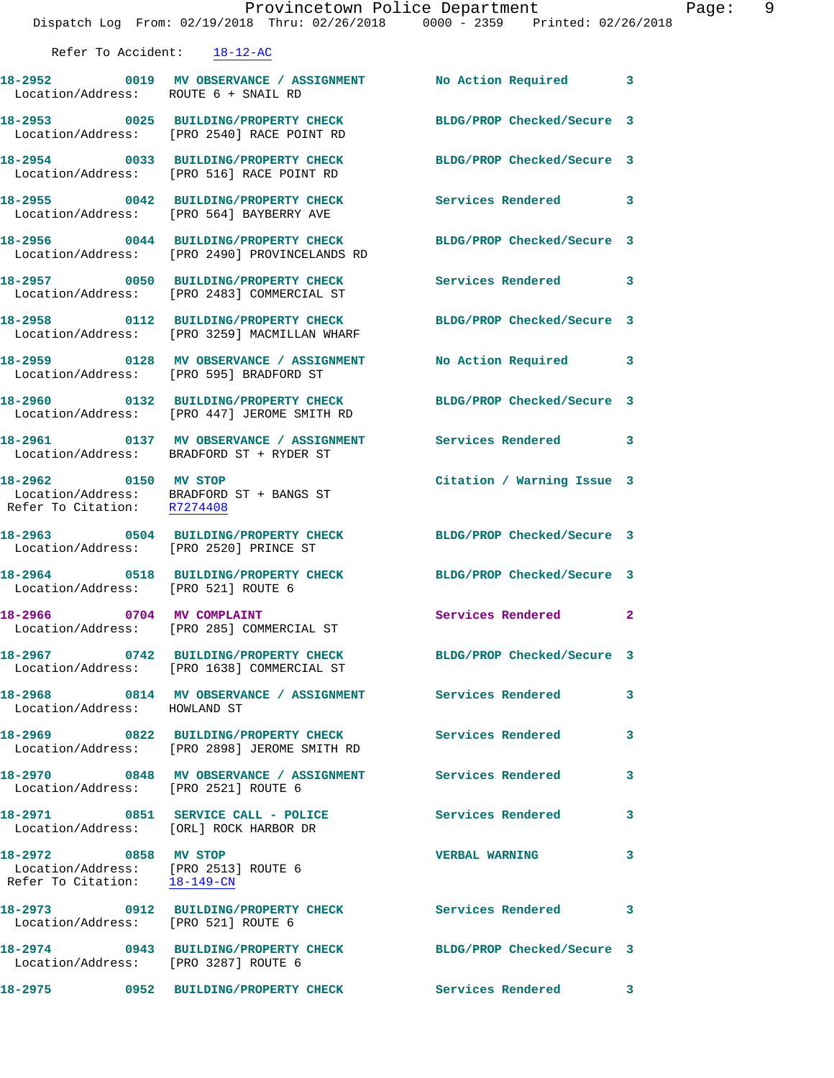|                                                     | Dispatch Log From: 02/19/2018 Thru: 02/26/2018 0000 - 2359 Printed: 02/26/2018                                   | Provincetown Police Department | - Pa |
|-----------------------------------------------------|------------------------------------------------------------------------------------------------------------------|--------------------------------|------|
| Refer To Accident: 18-12-AC                         |                                                                                                                  |                                |      |
| Location/Address: ROUTE 6 + SNAIL RD                | 18-2952 0019 MV OBSERVANCE / ASSIGNMENT No Action Required 3                                                     |                                |      |
|                                                     | 18-2953 0025 BUILDING/PROPERTY CHECK BLDG/PROP Checked/Secure 3<br>Location/Address: [PRO 2540] RACE POINT RD    |                                |      |
|                                                     | 18-2954 0033 BUILDING/PROPERTY CHECK BLDG/PROP Checked/Secure 3<br>Location/Address: [PRO 516] RACE POINT RD     |                                |      |
|                                                     | 18-2955 0042 BUILDING/PROPERTY CHECK Services Rendered 3<br>Location/Address: [PRO 564] BAYBERRY AVE             |                                |      |
|                                                     | 18-2956 0044 BUILDING/PROPERTY CHECK BLDG/PROP Checked/Secure 3<br>Location/Address: [PRO 2490] PROVINCELANDS RD |                                |      |
|                                                     | 18-2957 0050 BUILDING/PROPERTY CHECK Services Rendered 3<br>Location/Address: [PRO 2483] COMMERCIAL ST           |                                |      |
|                                                     | 18-2958 0112 BUILDING/PROPERTY CHECK BLDG/PROP Checked/Secure 3<br>Location/Address: [PRO 3259] MACMILLAN WHARF  |                                |      |
|                                                     | 18-2959 0128 MV OBSERVANCE / ASSIGNMENT No Action Required 3<br>Location/Address: [PRO 595] BRADFORD ST          |                                |      |
|                                                     | 18-2960 0132 BUILDING/PROPERTY CHECK BLDG/PROP Checked/Secure 3<br>Location/Address: [PRO 447] JEROME SMITH RD   |                                |      |
|                                                     | 18-2961   0137 MV OBSERVANCE / ASSIGNMENT   Services Rendered   3<br>Location/Address: BRADFORD ST + RYDER ST    |                                |      |
| 18-2962 0150 MV STOP<br>Refer To Citation: R7274408 | Location/Address: BRADFORD ST + BANGS ST                                                                         | Citation / Warning Issue 3     |      |
| Location/Address: [PRO 2520] PRINCE ST              | 18-2963 0504 BUILDING/PROPERTY CHECK BLDG/PROP Checked/Secure 3                                                  |                                |      |
| Location/Address: [PRO 521] ROUTE 6                 | 18-2964 0518 BUILDING/PROPERTY CHECK BLDG/PROP Checked/Secure 3                                                  |                                |      |
|                                                     | 18-2966 0704 MV COMPLAINT<br>Location/Address: [PRO 285] COMMERCIAL ST                                           | Services Rendered 2            |      |
|                                                     | 18-2967 0742 BUILDING/PROPERTY CHECK BLDG/PROP Checked/Secure 3<br>Location/Address: [PRO 1638] COMMERCIAL ST    |                                |      |
| Location/Address: HOWLAND ST                        | 18-2968 6814 MV OBSERVANCE / ASSIGNMENT Services Rendered                                                        |                                | 3    |
|                                                     | 18-2969 6822 BUILDING/PROPERTY CHECK Services Rendered<br>Location/Address: [PRO 2898] JEROME SMITH RD           |                                | 3    |
| Location/Address: [PRO 2521] ROUTE 6                | 18-2970 0848 MV OBSERVANCE / ASSIGNMENT Services Rendered                                                        |                                | 3    |
| Location/Address: [ORL] ROCK HARBOR DR              | 18-2971 0851 SERVICE CALL - POLICE                                                                               | <b>Services Rendered</b>       | 3    |
| 18-2972 0858 MV STOP                                | Location/Address: [PRO 2513] ROUTE 6<br>Refer To Citation: $\frac{18-149-CN}{18-149-CN}$                         | <b>VERBAL WARNING</b>          | 3    |
| Location/Address: [PRO 521] ROUTE 6                 | 18-2973 0912 BUILDING/PROPERTY CHECK Services Rendered 3                                                         |                                |      |
| Location/Address: [PRO 3287] ROUTE 6                | 18-2974 0943 BUILDING/PROPERTY CHECK BLDG/PROP Checked/Secure 3                                                  |                                |      |
|                                                     |                                                                                                                  |                                |      |

age: 9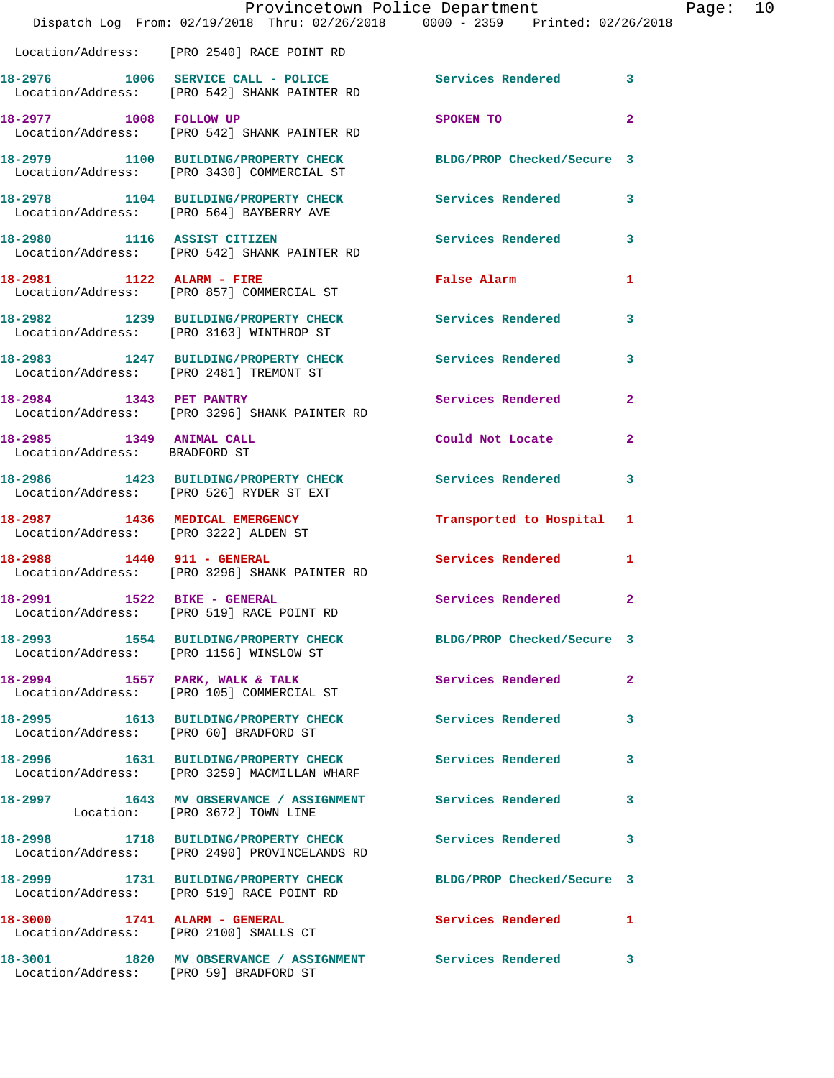|                                                           | Provincetown Police Department<br>Dispatch Log From: 02/19/2018 Thru: 02/26/2018 0000 - 2359 Printed: 02/26/2018 |                            |              |
|-----------------------------------------------------------|------------------------------------------------------------------------------------------------------------------|----------------------------|--------------|
|                                                           | Location/Address: [PRO 2540] RACE POINT RD                                                                       |                            |              |
|                                                           | 18-2976 1006 SERVICE CALL - POLICE 3 Services Rendered 3<br>Location/Address: [PRO 542] SHANK PAINTER RD         |                            |              |
|                                                           | 18-2977 1008 FOLLOW UP<br>Location/Address: [PRO 542] SHANK PAINTER RD                                           | SPOKEN TO                  | $\mathbf{2}$ |
|                                                           | 18-2979 1100 BUILDING/PROPERTY CHECK BLDG/PROP Checked/Secure 3<br>Location/Address: [PRO 3430] COMMERCIAL ST    |                            |              |
|                                                           | 18-2978 1104 BUILDING/PROPERTY CHECK Services Rendered<br>Location/Address: [PRO 564] BAYBERRY AVE               |                            | 3            |
|                                                           | 18-2980 1116 ASSIST CITIZEN<br>Location/Address: [PRO 542] SHANK PAINTER RD                                      | Services Rendered          | 3            |
|                                                           | 18-2981 1122 ALARM - FIRE<br>Location/Address: [PRO 857] COMMERCIAL ST                                           | False Alarm                | 1            |
|                                                           | 18-2982 1239 BUILDING/PROPERTY CHECK<br>Location/Address: [PRO 3163] WINTHROP ST                                 | Services Rendered          | 3            |
|                                                           | 18-2983 1247 BUILDING/PROPERTY CHECK<br>Location/Address: [PRO 2481] TREMONT ST                                  | Services Rendered          | 3            |
|                                                           | 18-2984 1343 PET PANTRY<br>Location/Address: [PRO 3296] SHANK PAINTER RD                                         | Services Rendered          | $\mathbf{2}$ |
| 18-2985 1349 ANIMAL CALL<br>Location/Address: BRADFORD ST |                                                                                                                  | Could Not Locate           | $\mathbf{2}$ |
|                                                           | 18-2986 1423 BUILDING/PROPERTY CHECK<br>Location/Address: [PRO 526] RYDER ST EXT                                 | Services Rendered          | 3            |
|                                                           | 18-2987 1436 MEDICAL EMERGENCY<br>Location/Address: [PRO 3222] ALDEN ST                                          | Transported to Hospital 1  |              |
|                                                           | 18-2988    1440    911 - GENERAL<br>Location/Address: [PRO 3296] SHANK PAINTER RD                                | <b>Services Rendered</b>   | 1            |
| 18-2991                                                   | 1522 BIKE - GENERAL<br>Location/Address: [PRO 519] RACE POINT RD                                                 | Services Rendered          | $\mathbf{2}$ |
|                                                           | 18-2993 1554 BUILDING/PROPERTY CHECK BLDG/PROP Checked/Secure 3<br>Location/Address: [PRO 1156] WINSLOW ST       |                            |              |
|                                                           |                                                                                                                  | Services Rendered          | 2            |
| Location/Address: [PRO 60] BRADFORD ST                    | 18-2995 1613 BUILDING/PROPERTY CHECK                                                                             | <b>Services Rendered</b>   | 3            |
|                                                           | 18-2996 1631 BUILDING/PROPERTY CHECK<br>Location/Address: [PRO 3259] MACMILLAN WHARF                             | Services Rendered          | 3            |
|                                                           | 18-2997 1643 MV OBSERVANCE / ASSIGNMENT Services Rendered<br>Location: [PRO 3672] TOWN LINE                      |                            | 3            |
|                                                           | 18-2998 1718 BUILDING/PROPERTY CHECK<br>Location/Address: [PRO 2490] PROVINCELANDS RD                            | <b>Services Rendered</b>   | 3            |
|                                                           | 18-2999 1731 BUILDING/PROPERTY CHECK<br>Location/Address: [PRO 519] RACE POINT RD                                | BLDG/PROP Checked/Secure 3 |              |
|                                                           | 18-3000 1741 ALARM - GENERAL<br>Location/Address: [PRO 2100] SMALLS CT                                           | <b>Services Rendered</b> 1 |              |
|                                                           | 18-3001 1820 MV OBSERVANCE / ASSIGNMENT Services Rendered<br>Location/Address: [PRO 59] BRADFORD ST              |                            | 3            |

Page: 10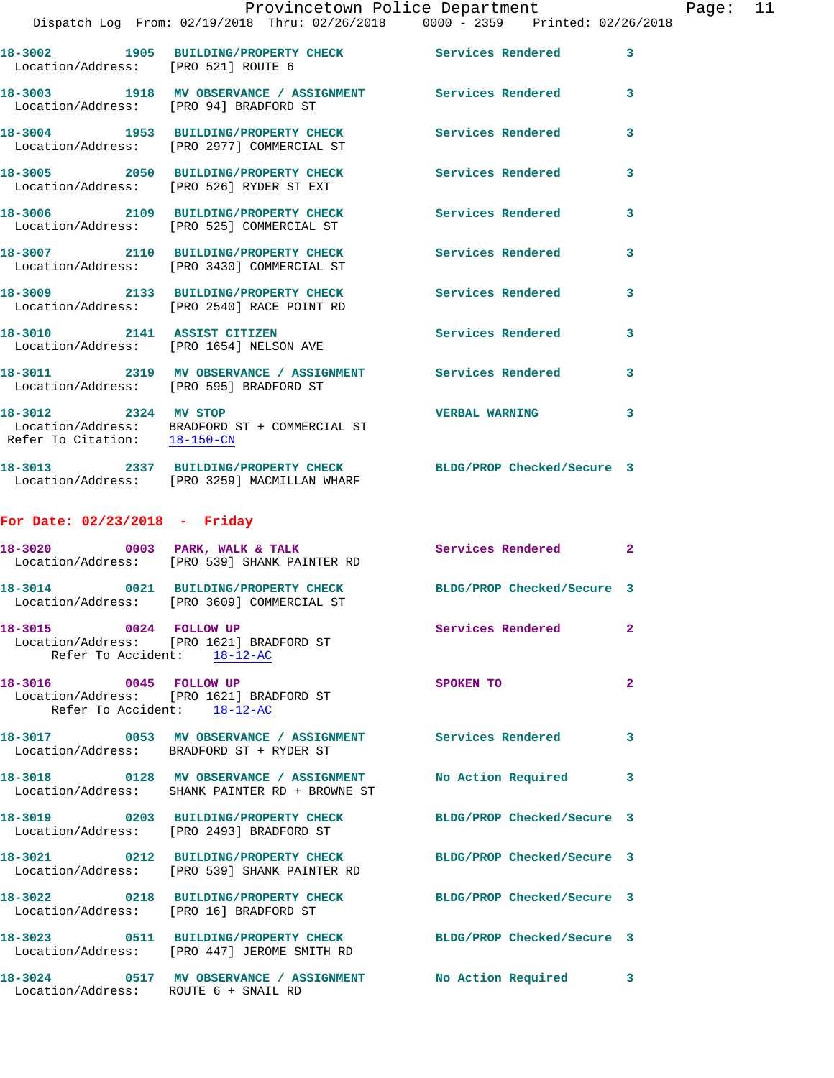|                                        | Provincetown Police Department                                                                                  |                            |              |
|----------------------------------------|-----------------------------------------------------------------------------------------------------------------|----------------------------|--------------|
|                                        | Dispatch Log From: 02/19/2018 Thru: 02/26/2018 0000 - 2359 Printed: 02/26/2018                                  |                            |              |
|                                        | 18-3002 1905 BUILDING/PROPERTY CHECK Services Rendered<br>Location/Address: [PRO 521] ROUTE 6                   |                            | 3            |
|                                        | 18-3003 1918 MV OBSERVANCE / ASSIGNMENT Services Rendered<br>Location/Address: [PRO 94] BRADFORD ST             |                            | 3            |
|                                        | 18-3004 1953 BUILDING/PROPERTY CHECK<br>Location/Address: [PRO 2977] COMMERCIAL ST                              | Services Rendered          | 3            |
|                                        | 18-3005 2050 BUILDING/PROPERTY CHECK<br>Location/Address: [PRO 526] RYDER ST EXT                                | <b>Services Rendered</b>   | 3            |
|                                        | 18-3006 2109 BUILDING/PROPERTY CHECK<br>Location/Address: [PRO 525] COMMERCIAL ST                               | <b>Services Rendered</b>   | 3            |
|                                        | 18-3007 2110 BUILDING/PROPERTY CHECK<br>Location/Address: [PRO 3430] COMMERCIAL ST                              | <b>Services Rendered</b>   | 3            |
|                                        | 18-3009 2133 BUILDING/PROPERTY CHECK<br>Location/Address: [PRO 2540] RACE POINT RD                              | <b>Services Rendered</b>   | 3            |
|                                        | 18-3010 2141 ASSIST CITIZEN<br>Location/Address: [PRO 1654] NELSON AVE                                          | <b>Services Rendered</b>   | 3            |
|                                        | 18-3011 2319 MV OBSERVANCE / ASSIGNMENT Services Rendered<br>Location/Address: [PRO 595] BRADFORD ST            |                            | 3            |
| 18-3012 2324 MV STOP                   | Location/Address: BRADFORD ST + COMMERCIAL ST<br>Refer To Citation: $18-150-CN$                                 | <b>VERBAL WARNING</b>      | 3            |
|                                        | 18-3013 2337 BUILDING/PROPERTY CHECK BLDG/PROP Checked/Secure 3<br>Location/Address: [PRO 3259] MACMILLAN WHARF |                            |              |
| For Date: $02/23/2018$ - Friday        |                                                                                                                 |                            |              |
|                                        | 18-3020 0003 PARK, WALK & TALK<br>Location/Address: [PRO 539] SHANK PAINTER RD                                  | <b>Services Rendered</b>   | $\mathbf{2}$ |
|                                        | 18-3014 0021 BUILDING/PROPERTY CHECK<br>Location/Address: [PRO 3609] COMMERCIAL ST                              | BLDG/PROP Checked/Secure 3 |              |
| 18-3015 0024 FOLLOW UP                 | Location/Address: [PRO 1621] BRADFORD ST<br>Refer To Accident: $18-12-AC$                                       | <b>Services Rendered</b>   | $\mathbf{2}$ |
| 18-3016 0045 FOLLOW UP                 | Location/Address: [PRO 1621] BRADFORD ST<br>Refer To Accident: 18-12-AC                                         | SPOKEN TO                  | 2            |
|                                        | 18-3017 0053 MV OBSERVANCE / ASSIGNMENT Services Rendered<br>Location/Address: BRADFORD ST + RYDER ST           |                            | 3            |
|                                        | 18-3018 0128 MV OBSERVANCE / ASSIGNMENT<br>Location/Address: SHANK PAINTER RD + BROWNE ST                       | No Action Required         | 3            |
|                                        | 18-3019 0203 BUILDING/PROPERTY CHECK<br>Location/Address: [PRO 2493] BRADFORD ST                                | BLDG/PROP Checked/Secure 3 |              |
|                                        | 18-3021 0212 BUILDING/PROPERTY CHECK<br>Location/Address: [PRO 539] SHANK PAINTER RD                            | BLDG/PROP Checked/Secure 3 |              |
| Location/Address: [PRO 16] BRADFORD ST | 18-3022 0218 BUILDING/PROPERTY CHECK                                                                            | BLDG/PROP Checked/Secure 3 |              |
|                                        | 18-3023 0511 BUILDING/PROPERTY CHECK<br>Location/Address: [PRO 447] JEROME SMITH RD                             | BLDG/PROP Checked/Secure 3 |              |

Location/Address: ROUTE 6 + SNAIL RD

**18-3024 0517 MV OBSERVANCE / ASSIGNMENT No Action Required 3**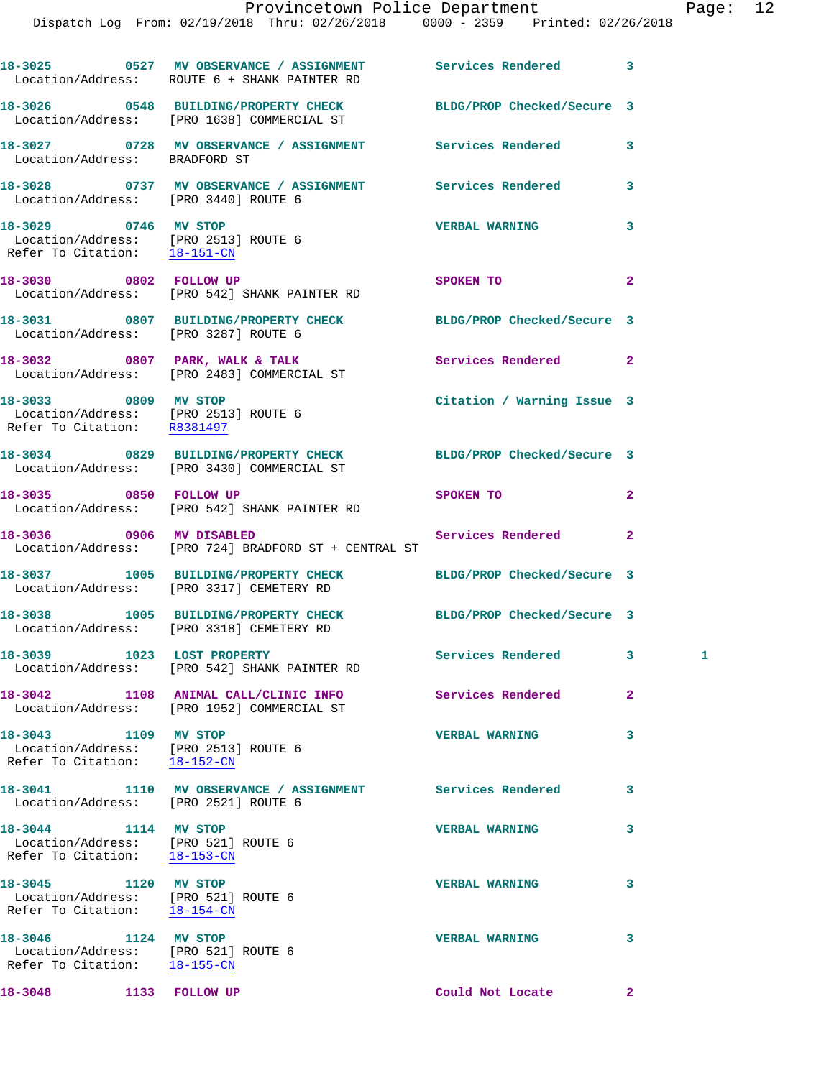|                                                                                                           | 18-3025 0527 MV OBSERVANCE / ASSIGNMENT Services Rendered<br>Location/Address: ROUTE 6 + SHANK PAINTER RD     |                            | 3            |
|-----------------------------------------------------------------------------------------------------------|---------------------------------------------------------------------------------------------------------------|----------------------------|--------------|
|                                                                                                           | 18-3026 0548 BUILDING/PROPERTY CHECK BLDG/PROP Checked/Secure 3<br>Location/Address: [PRO 1638] COMMERCIAL ST |                            |              |
| Location/Address: BRADFORD ST                                                                             | 18-3027 0728 MV OBSERVANCE / ASSIGNMENT Services Rendered                                                     |                            | 3            |
| Location/Address: [PRO 3440] ROUTE 6                                                                      | 18-3028 0737 MV OBSERVANCE / ASSIGNMENT Services Rendered                                                     |                            | 3            |
| 18-3029 0746 MV STOP<br>Location/Address: [PRO 2513] ROUTE 6<br>Refer To Citation: 18-151-CN              |                                                                                                               | <b>VERBAL WARNING</b>      | 3            |
| 18-3030 0802 FOLLOW UP                                                                                    | Location/Address: [PRO 542] SHANK PAINTER RD                                                                  | SPOKEN TO                  | $\mathbf{2}$ |
| Location/Address: [PRO 3287] ROUTE 6                                                                      | 18-3031 0807 BUILDING/PROPERTY CHECK                                                                          | BLDG/PROP Checked/Secure 3 |              |
|                                                                                                           | 18-3032 0807 PARK, WALK & TALK<br>Location/Address: [PRO 2483] COMMERCIAL ST                                  | Services Rendered          | $\mathbf{2}$ |
| 18-3033 0809 MV STOP<br>Location/Address: [PRO 2513] ROUTE 6<br>Refer To Citation: R8381497               |                                                                                                               | Citation / Warning Issue 3 |              |
|                                                                                                           | 18-3034 0829 BUILDING/PROPERTY CHECK BLDG/PROP Checked/Secure 3<br>Location/Address: [PRO 3430] COMMERCIAL ST |                            |              |
| 18-3035 0850 FOLLOW UP                                                                                    | Location/Address: [PRO 542] SHANK PAINTER RD                                                                  | SPOKEN TO                  | $\mathbf{2}$ |
|                                                                                                           | 18-3036 0906 MV DISABLED<br>Location/Address: [PRO 724] BRADFORD ST + CENTRAL ST                              | Services Rendered          | $\mathbf{2}$ |
|                                                                                                           | 18-3037 1005 BUILDING/PROPERTY CHECK<br>Location/Address: [PRO 3317] CEMETERY RD                              | BLDG/PROP Checked/Secure 3 |              |
|                                                                                                           | 18-3038 1005 BUILDING/PROPERTY CHECK<br>Location/Address: [PRO 3318] CEMETERY RD                              | BLDG/PROP Checked/Secure 3 |              |
| 18-3039 1023 LOST PROPERTY                                                                                | Location/Address: [PRO 542] SHANK PAINTER RD                                                                  | Services Rendered          |              |
|                                                                                                           | 18-3042 1108 ANIMAL CALL/CLINIC INFO<br>Location/Address: [PRO 1952] COMMERCIAL ST                            | Services Rendered          | $\mathbf{2}$ |
| 18-3043 1109 MV STOP<br>Location/Address: [PRO 2513] ROUTE 6<br>Refer To Citation: $\frac{18-152-CN}{\ }$ |                                                                                                               | <b>VERBAL WARNING</b>      | 3            |
| Location/Address: [PRO 2521] ROUTE 6                                                                      | 18-3041 1110 MV OBSERVANCE / ASSIGNMENT Services Rendered                                                     |                            | 3            |
| 18-3044 1114 MV STOP<br>Location/Address: [PRO 521] ROUTE 6<br>Refer To Citation: 18-153-CN               |                                                                                                               | <b>VERBAL WARNING</b>      | 3            |
| 18-3045 1120 MV STOP<br>Location/Address: [PRO 521] ROUTE 6<br>Refer To Citation: 18-154-CN               |                                                                                                               | <b>VERBAL WARNING</b>      | 3            |
| 18-3046 1124 MV STOP<br>Location/Address: [PRO 521] ROUTE 6<br>Refer To Citation: 18-155-CN               |                                                                                                               | <b>VERBAL WARNING</b>      | 3            |

**18-3048 1133 FOLLOW UP Could Not Locate 2**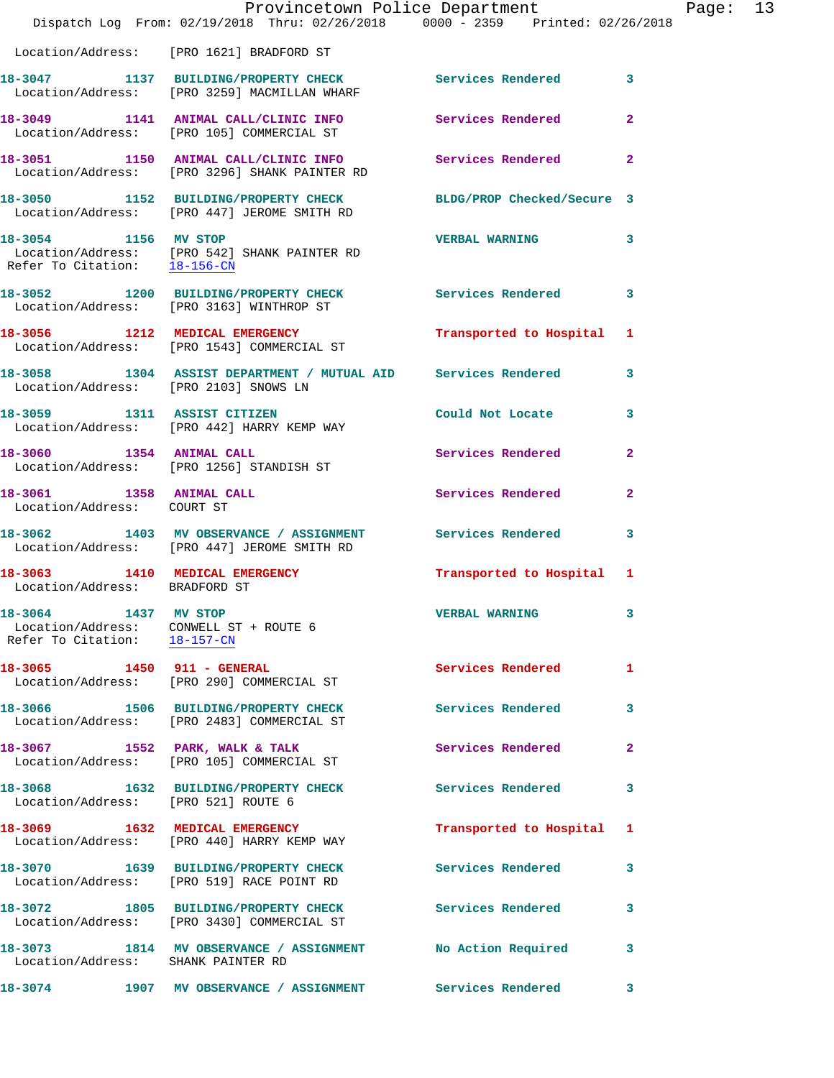|                                                                                                | Provincetown Police Department<br>Dispatch Log From: 02/19/2018 Thru: 02/26/2018 0000 - 2359 Printed: 02/26/2018 |                           |                |
|------------------------------------------------------------------------------------------------|------------------------------------------------------------------------------------------------------------------|---------------------------|----------------|
|                                                                                                | Location/Address: [PRO 1621] BRADFORD ST                                                                         |                           |                |
|                                                                                                | 18-3047 1137 BUILDING/PROPERTY CHECK Services Rendered<br>Location/Address: [PRO 3259] MACMILLAN WHARF           |                           | $\mathbf{3}$   |
|                                                                                                | 18-3049 1141 ANIMAL CALL/CLINIC INFO<br>Location/Address: [PRO 105] COMMERCIAL ST                                | Services Rendered         | $\overline{2}$ |
|                                                                                                | 18-3051 1150 ANIMAL CALL/CLINIC INFO<br>Location/Address: [PRO 3296] SHANK PAINTER RD                            | Services Rendered         | $\overline{2}$ |
|                                                                                                | 18-3050 1152 BUILDING/PROPERTY CHECK BLDG/PROP Checked/Secure 3<br>Location/Address: [PRO 447] JEROME SMITH RD   |                           |                |
| 18-3054 1156 MV STOP                                                                           | Location/Address: [PRO 542] SHANK PAINTER RD<br>Refer To Citation: $\frac{18-156-CN}{18-16C}$                    | <b>VERBAL WARNING</b>     | 3              |
|                                                                                                | 18-3052 1200 BUILDING/PROPERTY CHECK<br>Location/Address: [PRO 3163] WINTHROP ST                                 | Services Rendered         | $\mathbf{3}$   |
|                                                                                                | 18-3056 1212 MEDICAL EMERGENCY<br>Location/Address: [PRO 1543] COMMERCIAL ST                                     | Transported to Hospital   | 1              |
| Location/Address: [PRO 2103] SNOWS LN                                                          | 18-3058 1304 ASSIST DEPARTMENT / MUTUAL AID Services Rendered                                                    |                           | 3              |
|                                                                                                | 18-3059 1311 ASSIST CITIZEN<br>Location/Address: [PRO 442] HARRY KEMP WAY                                        | Could Not Locate          | 3              |
| 18-3060 1354 ANIMAL CALL                                                                       | Location/Address: [PRO 1256] STANDISH ST                                                                         | Services Rendered         | $\overline{2}$ |
| 18-3061 1358 ANIMAL CALL<br>Location/Address: COURT ST                                         |                                                                                                                  | Services Rendered         | $\mathbf{2}$   |
|                                                                                                | 18-3062 1403 MV OBSERVANCE / ASSIGNMENT Services Rendered<br>Location/Address: [PRO 447] JEROME SMITH RD         |                           | $\mathbf{3}$   |
| Location/Address: BRADFORD ST                                                                  | 18-3063 1410 MEDICAL EMERGENCY                                                                                   | Transported to Hospital 1 |                |
| 18-3064 1437 MV STOP<br>Location/Address: CONWELL ST + ROUTE 6<br>Refer To Citation: 18-157-CN |                                                                                                                  | <b>VERBAL WARNING</b>     | $\mathbf{3}$   |
| 18-3065 1450 911 - GENERAL                                                                     | Location/Address: [PRO 290] COMMERCIAL ST                                                                        | <b>Services Rendered</b>  | $\mathbf{1}$   |
|                                                                                                | 18-3066 1506 BUILDING/PROPERTY CHECK<br>Location/Address: [PRO 2483] COMMERCIAL ST                               | Services Rendered         | 3              |
|                                                                                                | 18-3067 1552 PARK, WALK & TALK<br>Location/Address: [PRO 105] COMMERCIAL ST                                      | Services Rendered         | $\mathbf{2}$   |
| 18-3068<br>Location/Address: [PRO 521] ROUTE 6                                                 | 1632 BUILDING/PROPERTY CHECK                                                                                     | Services Rendered         | 3              |
|                                                                                                | 18-3069 1632 MEDICAL EMERGENCY<br>Location/Address: [PRO 440] HARRY KEMP WAY                                     | Transported to Hospital   | 1              |
| 18-3070                                                                                        | 1639 BUILDING/PROPERTY CHECK<br>Location/Address: [PRO 519] RACE POINT RD                                        | Services Rendered         | 3              |
|                                                                                                | 18-3072 1805 BUILDING/PROPERTY CHECK<br>Location/Address: [PRO 3430] COMMERCIAL ST                               | Services Rendered         | 3              |
| 18-3073<br>Location/Address: SHANK PAINTER RD                                                  | 1814 MV OBSERVANCE / ASSIGNMENT                                                                                  | No Action Required        | 3              |
| 18-3074                                                                                        | 1907 MV OBSERVANCE / ASSIGNMENT                                                                                  | Services Rendered         | 3              |

Page: 13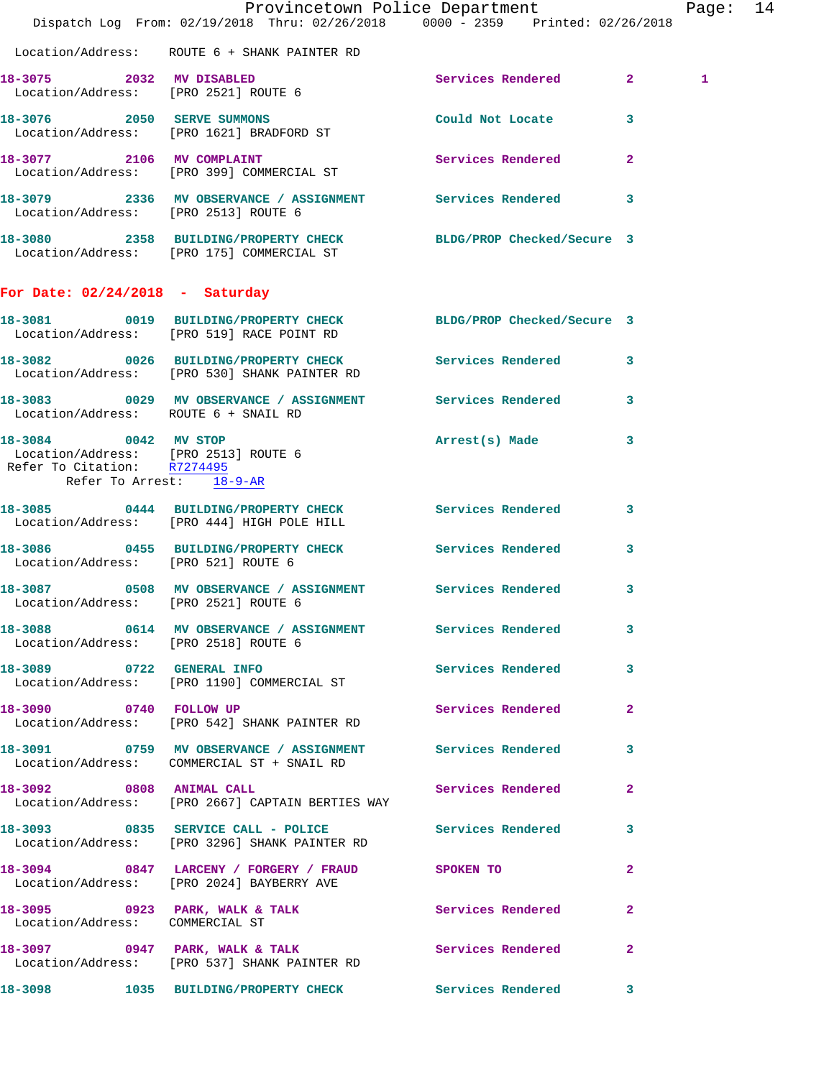|                                                                                             |                                                                                                              | Provincetown Police Department<br>Dispatch Log From: 02/19/2018 Thru: 02/26/2018 0000 - 2359 Printed: 02/26/2018 | Page: 14     |  |
|---------------------------------------------------------------------------------------------|--------------------------------------------------------------------------------------------------------------|------------------------------------------------------------------------------------------------------------------|--------------|--|
|                                                                                             | Location/Address: ROUTE 6 + SHANK PAINTER RD                                                                 |                                                                                                                  |              |  |
|                                                                                             | 18-3075 2032 MV DISABLED<br>Location/Address: [PRO 2521] ROUTE 6                                             | Services Rendered 2                                                                                              | $\mathbf{1}$ |  |
|                                                                                             | 18-3076 2050 SERVE SUMMONS<br>Location/Address: [PRO 1621] BRADFORD ST                                       | Could Not Locate 3                                                                                               |              |  |
|                                                                                             | 18-3077 2106 MV COMPLAINT<br>Location/Address: [PRO 399] COMMERCIAL ST                                       | Services Rendered 2                                                                                              |              |  |
|                                                                                             | 18-3079 2336 MV OBSERVANCE / ASSIGNMENT Services Rendered 3<br>Location/Address: [PRO 2513] ROUTE 6          |                                                                                                                  |              |  |
|                                                                                             | 18-3080 2358 BUILDING/PROPERTY CHECK BLDG/PROP Checked/Secure 3<br>Location/Address: [PRO 175] COMMERCIAL ST |                                                                                                                  |              |  |
| For Date: $02/24/2018$ - Saturday                                                           |                                                                                                              |                                                                                                                  |              |  |
|                                                                                             | 18-3081 0019 BUILDING/PROPERTY CHECK BLDG/PROP Checked/Secure 3<br>Location/Address: [PRO 519] RACE POINT RD |                                                                                                                  |              |  |
|                                                                                             | 18-3082 0026 BUILDING/PROPERTY CHECK Services Rendered 3<br>Location/Address: [PRO 530] SHANK PAINTER RD     |                                                                                                                  |              |  |
| Location/Address: ROUTE 6 + SNAIL RD                                                        | 18-3083 0029 MV OBSERVANCE / ASSIGNMENT Services Rendered 3                                                  |                                                                                                                  |              |  |
| 18-3084 0042 MV STOP<br>Location/Address: [PRO 2513] ROUTE 6<br>Refer To Citation: R7274495 |                                                                                                              | Arrest(s) Made 3                                                                                                 |              |  |
| Refer To Arrest: 18-9-AR                                                                    |                                                                                                              |                                                                                                                  |              |  |
|                                                                                             | 18-3085 0444 BUILDING/PROPERTY CHECK Services Rendered<br>Location/Address: [PRO 444] HIGH POLE HILL         | $\mathbf{3}$                                                                                                     |              |  |
| Location/Address: [PRO 521] ROUTE 6                                                         | 18-3086 0455 BUILDING/PROPERTY CHECK Services Rendered                                                       | $\mathbf{3}$                                                                                                     |              |  |
| Location/Address: [PRO 2521] ROUTE 6                                                        |                                                                                                              | $\mathbf{3}$                                                                                                     |              |  |
|                                                                                             | 18-3088 0614 MV OBSERVANCE / ASSIGNMENT Services Rendered 3<br>Location/Address: [PRO 2518] ROUTE 6          |                                                                                                                  |              |  |
|                                                                                             | 18-3089 0722 GENERAL INFO<br>Location/Address: [PRO 1190] COMMERCIAL ST                                      | Services Rendered 3                                                                                              |              |  |
| 18-3090 0740 FOLLOW UP                                                                      | Location/Address: [PRO 542] SHANK PAINTER RD                                                                 | Services Rendered 2                                                                                              |              |  |
|                                                                                             | 18-3091 0759 MV OBSERVANCE / ASSIGNMENT Services Rendered 3<br>Location/Address: COMMERCIAL ST + SNAIL RD    |                                                                                                                  |              |  |
| 18-3092 0808 ANIMAL CALL                                                                    | Location/Address: [PRO 2667] CAPTAIN BERTIES WAY                                                             | Services Rendered 2                                                                                              |              |  |
|                                                                                             | 18-3093 0835 SERVICE CALL - POLICE Services Rendered 3<br>Location/Address: [PRO 3296] SHANK PAINTER RD      |                                                                                                                  |              |  |
|                                                                                             | 18-3094 0847 LARCENY / FORGERY / FRAUD SPOKEN TO<br>Location/Address: [PRO 2024] BAYBERRY AVE                | $\mathbf{2}$                                                                                                     |              |  |
| Location/Address: COMMERCIAL ST                                                             | 18-3095 0923 PARK, WALK & TALK 3 Services Rendered                                                           | $\mathbf{2}$                                                                                                     |              |  |
|                                                                                             | 18-3097 0947 PARK, WALK & TALK<br>Location/Address: [PRO 537] SHANK PAINTER RD                               | Services Rendered 2                                                                                              |              |  |
|                                                                                             | 18-3098 1035 BUILDING/PROPERTY CHECK Services Rendered                                                       | $\mathbf{3}$                                                                                                     |              |  |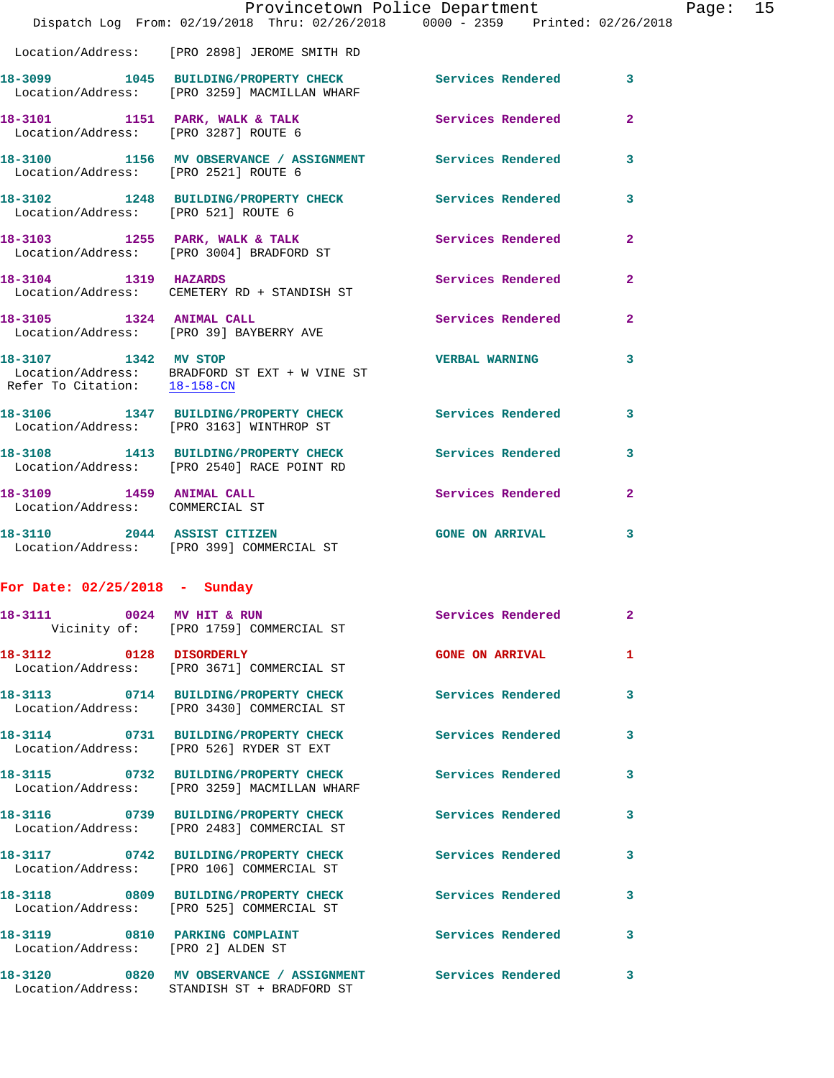|                                                             | Provincetown Police Department<br>Dispatch Log From: 02/19/2018 Thru: 02/26/2018 0000 - 2359 Printed: 02/26/2018 |                        |                | Page: $15$ |  |
|-------------------------------------------------------------|------------------------------------------------------------------------------------------------------------------|------------------------|----------------|------------|--|
|                                                             | Location/Address: [PRO 2898] JEROME SMITH RD                                                                     |                        |                |            |  |
|                                                             | 18-3099 1045 BUILDING/PROPERTY CHECK Services Rendered 3<br>Location/Address: [PRO 3259] MACMILLAN WHARF         |                        |                |            |  |
| Location/Address: [PRO 3287] ROUTE 6                        | 18-3101 1151 PARK, WALK & TALK 1997 Services Rendered                                                            |                        | $\mathbf{2}$   |            |  |
| Location/Address: [PRO 2521] ROUTE 6                        | 18-3100 1156 MV OBSERVANCE / ASSIGNMENT Services Rendered                                                        |                        | 3              |            |  |
|                                                             | 18-3102 1248 BUILDING/PROPERTY CHECK Services Rendered<br>Location/Address: [PRO 521] ROUTE 6                    |                        | 3              |            |  |
|                                                             | 18-3103 1255 PARK, WALK & TALK 1988 Services Rendered<br>Location/Address: [PRO 3004] BRADFORD ST                |                        | $\overline{2}$ |            |  |
|                                                             | 18-3104 1319 HAZARDS<br>Location/Address: CEMETERY RD + STANDISH ST                                              | Services Rendered      | $\mathbf{2}$   |            |  |
|                                                             | 18-3105 1324 ANIMAL CALL<br>Location/Address: [PRO 39] BAYBERRY AVE                                              | Services Rendered      | $\overline{2}$ |            |  |
| 18-3107 1342 MV STOP<br>Refer To Citation: 18-158-CN        | Location/Address: BRADFORD ST EXT + W VINE ST                                                                    | <b>VERBAL WARNING</b>  | 3              |            |  |
|                                                             | 18-3106 1347 BUILDING/PROPERTY CHECK Services Rendered<br>Location/Address: [PRO 3163] WINTHROP ST               |                        | 3              |            |  |
|                                                             | 18-3108 1413 BUILDING/PROPERTY CHECK Services Rendered<br>Location/Address: [PRO 2540] RACE POINT RD             |                        | 3              |            |  |
| 18-3109 1459 ANIMAL CALL<br>Location/Address: COMMERCIAL ST |                                                                                                                  | Services Rendered      | $\mathbf{2}$   |            |  |
|                                                             | 18-3110 2044 ASSIST CITIZEN<br>Location/Address: [PRO 399] COMMERCIAL ST                                         | <b>GONE ON ARRIVAL</b> | 3              |            |  |
| For Date: $02/25/2018$ - Sunday                             |                                                                                                                  |                        |                |            |  |
|                                                             | 18-3111 0024 MV HIT & RUN<br>Vicinity of: [PRO 1759] COMMERCIAL ST                                               | Services Rendered      | - 2            |            |  |
| 18-3112 0128 DISORDERLY                                     | Location/Address: [PRO 3671] COMMERCIAL ST                                                                       | <b>GONE ON ARRIVAL</b> | 1.             |            |  |
|                                                             | 18-3113 0714 BUILDING/PROPERTY CHECK Services Rendered<br>Location/Address: [PRO 3430] COMMERCIAL ST             |                        | 3              |            |  |
|                                                             | 18-3114 0731 BUILDING/PROPERTY CHECK Services Rendered<br>Location/Address: [PRO 526] RYDER ST EXT               |                        | 3              |            |  |
|                                                             | 18-3115 0732 BUILDING/PROPERTY CHECK Services Rendered<br>Location/Address: [PRO 3259] MACMILLAN WHARF           |                        | 3              |            |  |
|                                                             | 18-3116 		 0739 BUILDING/PROPERTY CHECK 		 Services Rendered<br>Location/Address: [PRO 2483] COMMERCIAL ST       |                        | 3              |            |  |
|                                                             | 18-3117 0742 BUILDING/PROPERTY CHECK Services Rendered<br>Location/Address: [PRO 106] COMMERCIAL ST              |                        | 3              |            |  |
|                                                             | 18-3118 0809 BUILDING/PROPERTY CHECK Services Rendered<br>Location/Address: [PRO 525] COMMERCIAL ST              |                        | 3              |            |  |
| Location/Address: [PRO 2] ALDEN ST                          | 18-3119 0810 PARKING COMPLAINT Services Rendered                                                                 |                        | 3              |            |  |
| 18-3120                                                     | 0820 MV OBSERVANCE / ASSIGNMENT Services Rendered                                                                |                        | 3              |            |  |

Location/Address: STANDISH ST + BRADFORD ST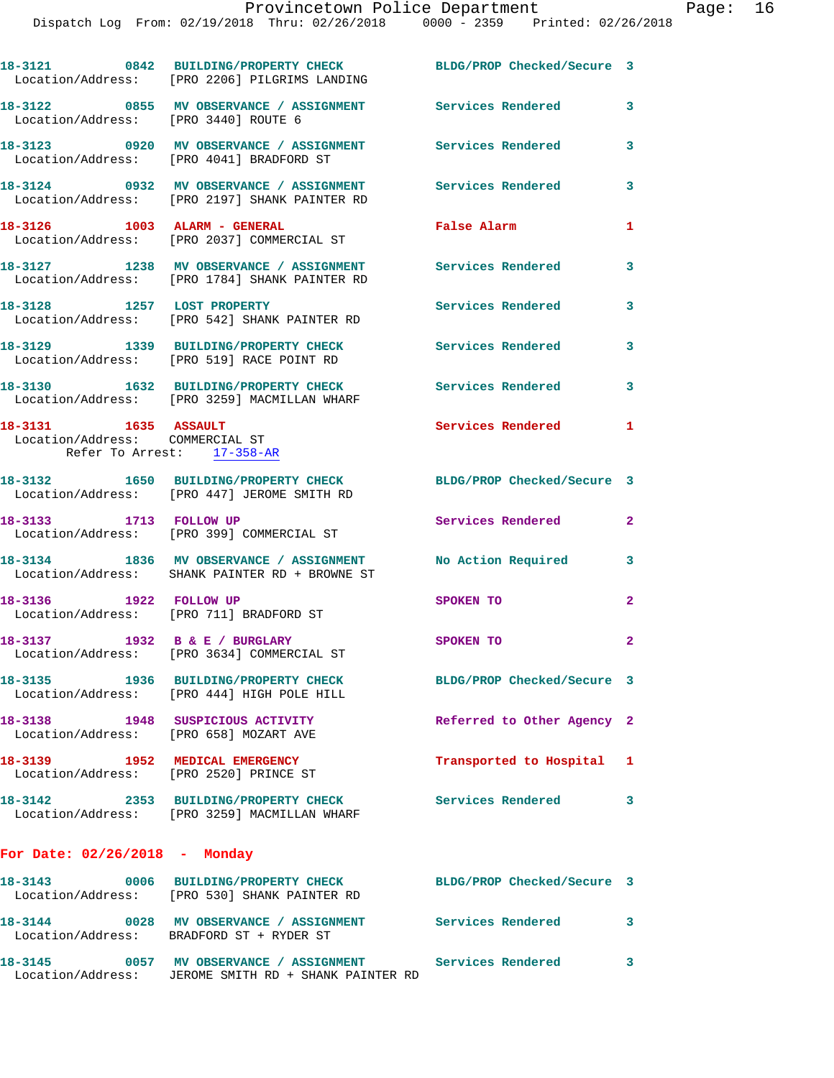|                                                         | 18-3121 0842 BUILDING/PROPERTY CHECK BLDG/PROP Checked/Secure 3<br>Location/Address: [PRO 2206] PILGRIMS LANDING |                                      |              |
|---------------------------------------------------------|------------------------------------------------------------------------------------------------------------------|--------------------------------------|--------------|
| Location/Address: [PRO 3440] ROUTE 6                    | 18-3122 0855 MV OBSERVANCE / ASSIGNMENT Services Rendered                                                        |                                      | 3            |
|                                                         | 18-3123 0920 MV OBSERVANCE / ASSIGNMENT<br>Location/Address: [PRO 4041] BRADFORD ST                              | Services Rendered                    | 3            |
|                                                         | 18-3124 0932 MV OBSERVANCE / ASSIGNMENT<br>Location/Address: [PRO 2197] SHANK PAINTER RD                         | <b>Services Rendered</b>             | 3            |
| 18-3126 1003 ALARM - GENERAL                            | Location/Address: [PRO 2037] COMMERCIAL ST                                                                       | False Alarm                          | 1            |
|                                                         | 18-3127 1238 MV OBSERVANCE / ASSIGNMENT<br>Location/Address: [PRO 1784] SHANK PAINTER RD                         | Services Rendered                    | 3            |
| 18-3128 1257 LOST PROPERTY                              | Location/Address: [PRO 542] SHANK PAINTER RD                                                                     | Services Rendered                    | 3            |
|                                                         | 18-3129 1339 BUILDING/PROPERTY CHECK<br>Location/Address: [PRO 519] RACE POINT RD                                | <b>Services Rendered</b>             | 3            |
|                                                         | 18-3130 1632 BUILDING/PROPERTY CHECK<br>Location/Address: [PRO 3259] MACMILLAN WHARF                             | Services Rendered                    | 3            |
| 18-3131 1635 ASSAULT<br>Location/Address: COMMERCIAL ST | Refer To Arrest: 17-358-AR                                                                                       | Services Rendered                    | $\mathbf{1}$ |
|                                                         | 18-3132 1650 BUILDING/PROPERTY CHECK<br>Location/Address: [PRO 447] JEROME SMITH RD                              | BLDG/PROP Checked/Secure 3           |              |
| 18-3133 1713 FOLLOW UP                                  | Location/Address: [PRO 399] COMMERCIAL ST                                                                        | Services Rendered                    | $\mathbf{2}$ |
|                                                         | 18-3134 1836 MV OBSERVANCE / ASSIGNMENT<br>Location/Address: SHANK PAINTER RD + BROWNE ST                        | No Action Required                   | 3            |
| 1922 FOLLOW UP<br>18–3136                               | Location/Address: [PRO 711] BRADFORD ST                                                                          | SPOKEN TO                            | $\mathbf{2}$ |
| 18-3137                                                 | 1932 B & E / BURGLARY<br>Location/Address: [PRO 3634] COMMERCIAL ST                                              | SPOKEN TO                            | 2            |
|                                                         | 18-3135 1936 BUILDING/PROPERTY CHECK<br>Location/Address: [PRO 444] HIGH POLE HILL                               | BLDG/PROP Checked/Secure 3           |              |
| Location/Address: [PRO 658] MOZART AVE                  | 18-3138 1948 SUSPICIOUS ACTIVITY                                                                                 | Referred to Other Agency 2           |              |
| 18-3139 1952 MEDICAL EMERGENCY                          | Location/Address: [PRO 2520] PRINCE ST                                                                           | Transported to Hospital 1            |              |
|                                                         | 18-3142 2353 BUILDING/PROPERTY CHECK<br>Location/Address: [PRO 3259] MACMILLAN WHARF                             | <b>Services Rendered</b>             | 3            |
| For Date: $02/26/2018$ - Monday                         |                                                                                                                  |                                      |              |
|                                                         | 18-3143 0006 BUILDING/PROPERTY CHECK<br>Location/Address: [PRO 530] SHANK PAINTER RD                             | BLDG/PROP Checked/Secure 3           |              |
| 18-3144                                                 | 0028 MV OBSERVANCE / ASSIGNMENT<br>Location/Address: BRADFORD ST + RYDER ST                                      | <b>Services Rendered</b><br>$\sim$ 3 |              |

**18-3145 0057 MV OBSERVANCE / ASSIGNMENT Services Rendered 3**  Location/Address: JEROME SMITH RD + SHANK PAINTER RD